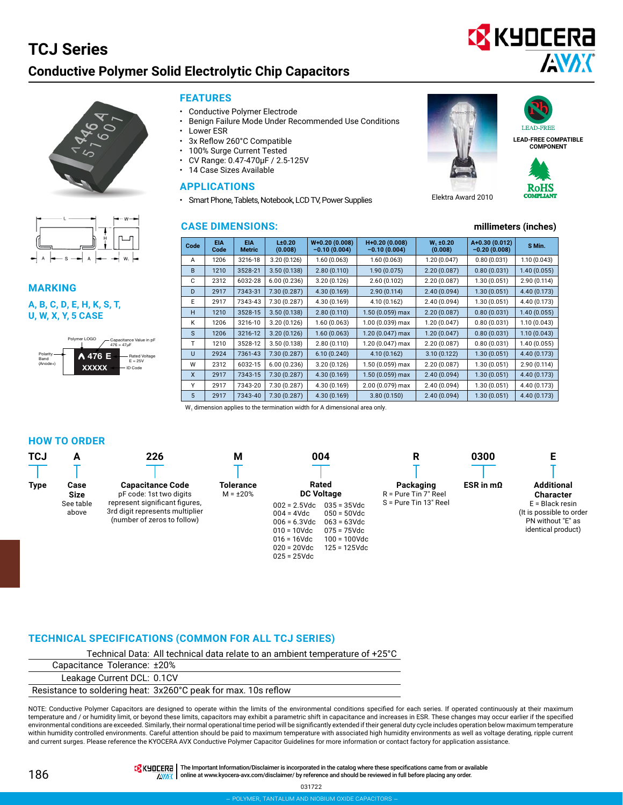### **TCJ Series ELECTROLYTIC CHIP CAPACITORS Conductive Polymer Solid Electrolytic Chip Capacitors**



| $\rightarrow$ | А<br>$\leftarrow$ | $\mathsf{W}_1$<br>۳ |
|---------------|-------------------|---------------------|

**MARKING** Polymer Capacitance Value in pF

**U, W, X, Y, 5 CASE** A, B, C, D, E, H, K, S, T,



#### **FEATURES**

- Conductive Polymer Electrode
- Benign Failure Mode Under Recommended Use Conditions
- Lower ESR
- 3x Reflow 260°C Compatible
- 100% Surge Current Tested
- CV Range: 0.47-470μF / 2.5-125V
- 14 Case Sizes Available

#### **APPLICATIONS**

• Smart Phone, Tablets, Notebook, LCD TV, Power Supplies

#### **CASE DIMENSIONS: millimeters (inches)**





AVX

**C** KYOCERA

**LEAD-FREE COMPATIBLE COMPONENT**



Elektra Award 2010

| Code | <b>EIA</b><br>Code | <b>EIA</b><br><b>Metric</b> | $L\pm 0.20$<br>(0.008) | $W+0.20(0.008)$<br>$-0.10(0.004)$ | H+0.20 (0.008)<br>$-0.10(0.004)$ | $W_1$ ±0.20<br>(0.008) | A+0.30 (0.012)<br>$-0.20(0.008)$ | S Min.       |
|------|--------------------|-----------------------------|------------------------|-----------------------------------|----------------------------------|------------------------|----------------------------------|--------------|
| A    | 1206               | 3216-18                     | 3.20(0.126)            | 1.60 (0.063)                      | 1.60(0.063)                      | 1.20(0.047)            | 0.80(0.031)                      | 1.10(0.043)  |
| B    | 1210               | 3528-21                     | 3.50(0.138)            | 2.80(0.110)                       | 1.90 (0.075)                     | 2.20(0.087)            | 0.80(0.031)                      | 1.40(0.055)  |
| C    | 2312               | 6032-28                     | 6.00(0.236)            | 3.20(0.126)                       | 2.60(0.102)                      | 2.20(0.087)            | 1.30(0.051)                      | 2.90(0.114)  |
| D    | 2917               | 7343-31                     | 7.30(0.287)            | 4.30(0.169)                       | 2.90(0.114)                      | 2.40(0.094)            | 1.30(0.051)                      | 4.40(0.173)  |
| E    | 2917               | 7343-43                     | 7.30(0.287)            | 4.30 (0.169)                      | 4.10 (0.162)                     | 2.40(0.094)            | 1.30(0.051)                      | 4.40 (0.173) |
| н    | 1210               | 3528-15                     | 3.50(0.138)            | 2.80(0.110)                       | 1.50 (0.059) max                 | 2.20(0.087)            | 0.80(0.031)                      | 1.40(0.055)  |
| K    | 1206               | 3216-10                     | 3.20(0.126)            | 1.60(0.063)                       | 1.00 (0.039) max                 | 1.20(0.047)            | 0.80(0.031)                      | 1.10(0.043)  |
| S    | 1206               | 3216-12                     | 3.20(0.126)            | 1.60(0.063)                       | $1.20(0.047)$ max                | 1.20(0.047)            | 0.80(0.031)                      | 1.10(0.043)  |
| т    | 1210               | 3528-12                     | 3.50(0.138)            | 2.80(0.110)                       | 1.20 (0.047) max                 | 2.20(0.087)            | 0.80(0.031)                      | 1.40(0.055)  |
| U    | 2924               | 7361-43                     | 7.30(0.287)            | 6.10(0.240)                       | 4.10(0.162)                      | 3.10(0.122)            | 1.30(0.051)                      | 4.40(0.173)  |
| W    | 2312               | 6032-15                     | 6.00(0.236)            | 3.20(0.126)                       | 1.50 (0.059) max                 | 2.20(0.087)            | 1.30(0.051)                      | 2.90(0.114)  |
| X    | 2917               | 7343-15                     | 7.30(0.287)            | 4.30(0.169)                       | 1.50 (0.059) max                 | 2.40(0.094)            | 1.30(0.051)                      | 4.40(0.173)  |
| Υ    | 2917               | 7343-20                     | 7.30 (0.287)           | 4.30 (0.169)                      | 2.00 (0.079) max                 | 2.40(0.094)            | 1.30(0.051)                      | 4.40 (0.173) |
| 5    | 2917               | 7343-40                     | 7.30(0.287)            | 4.30(0.169)                       | 3.80(0.150)                      | 2.40(0.094)            | 1.30(0.051)                      | 4.40(0.173)  |

W<sub>1</sub> dimension applies to the termination width for A dimensional area only.

#### **HOW TO ORDER**

| <b>TCJ</b>  | Α                         | 226                                                                                              | Μ                                  | 004                                                                                                                                                                                                                                          | R                                 | 0300                |                                                                                          |
|-------------|---------------------------|--------------------------------------------------------------------------------------------------|------------------------------------|----------------------------------------------------------------------------------------------------------------------------------------------------------------------------------------------------------------------------------------------|-----------------------------------|---------------------|------------------------------------------------------------------------------------------|
| <b>Type</b> | Case<br>Size<br>See table | <b>Capacitance Code</b><br>pF code: 1st two digits                                               | <b>Tolerance</b><br>$M = \pm 20\%$ | Rated<br><b>DC Voltage</b>                                                                                                                                                                                                                   | Packaging<br>R = Pure Tin 7" Reel | $ESR$ in m $\Omega$ | <b>Additional</b><br><b>Character</b>                                                    |
|             | above                     | represent significant figures,<br>3rd digit represents multiplier<br>(number of zeros to follow) |                                    | $035 = 35 \text{Vdc}$<br>$002 = 2.5$ Vdc<br>$004 = 4Vdc$<br>$050 = 50$ Vdc<br>$006 = 6.3$ Vdc<br>$063 = 63$ Vdc<br>$010 = 10$ Vdc<br>$075 = 75$ Vdc<br>$016 = 16$ Vdc<br>$100 = 100$ Vdc<br>$020 = 20$ Vdc<br>125 = 125Vdc<br>$025 = 25$ Vdc | S = Pure Tin 13" Reel             |                     | $E = Black$ resin<br>(It is possible to order<br>PN without "E" as<br>identical product) |

#### **TECHNICAL SPECIFICATIONS (COMMON FOR ALL TCJ SERIES)**

Technical Data: All technical data relate to an ambient temperature of +25°C

Capacitance Tolerance: ±20%

Leakage Current DCL: 0.1CV

Resistance to soldering heat: 3x260°C peak for max. 10s reflow

NOTE: Conductive Polymer Capacitors are designed to operate within the limits of the environmental conditions specified for each series. If operated continuously at their maximum temperature and / or humidity limit, or beyond these limits, capacitors may exhibit a parametric shift in capacitance and increases in ESR. These changes may occur earlier if the specified environmental conditions are exceeded. Similarly, their normal operational time period will be significantly extended if their general duty cycle includes operation below maximum temperature within humidity controlled environments. Careful attention should be paid to maximum temperature with associated high humidity environments as well as voltage derating, ripple current and current surges. Please reference the KYOCERA AVX Conductive Polymer Capacitor Guidelines for more information or contact factory for application assistance.

186

TR KHOCERA | The Important Information/Disclaimer is incorporated in the catalog where these specifications came from or available AWAX online at [www.kyocera-avx.com/disclaimer/](http://www.kyocera-avx.com/disclaimer/) by reference and should be reviewed in full before placing any order.

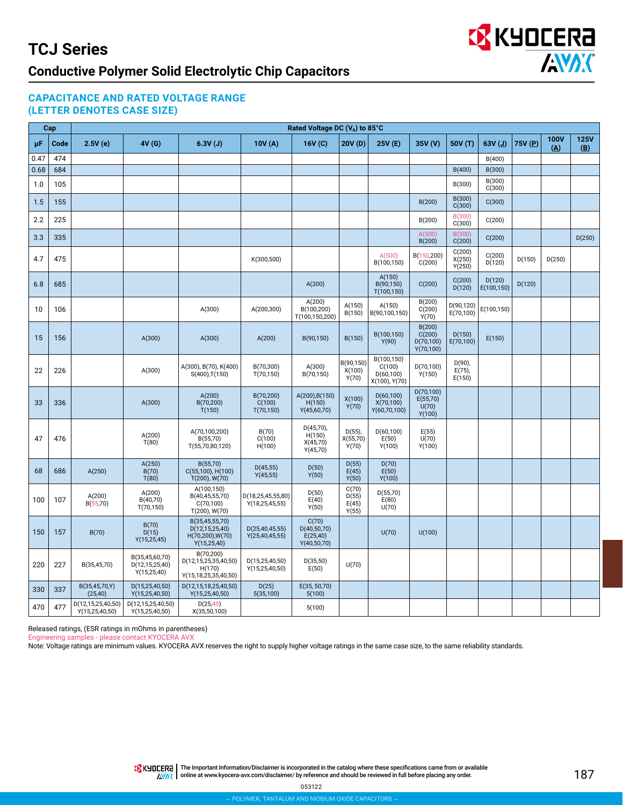

### **CAPACITANCE AND RATED VOLTAGE RANGE (LETTER DENOTES CASE SIZE)**

|      | Cap  |                                        |                                                   |                                                                       |                                        | Rated Voltage DC $(V_R)$ to 85°C                  |                                  |                                                     |                                              |                                  |                      |         |                                  |                                           |
|------|------|----------------------------------------|---------------------------------------------------|-----------------------------------------------------------------------|----------------------------------------|---------------------------------------------------|----------------------------------|-----------------------------------------------------|----------------------------------------------|----------------------------------|----------------------|---------|----------------------------------|-------------------------------------------|
| μF   | Code | 2.5V(e)                                | 4V (G)                                            | 6.3V(J)                                                               | 10V(A)                                 | 16V (C)                                           | 20V (D)                          | 25V (E)                                             | 35V (V)                                      | 50V (T)                          | $63V$ (J)            | 75V (P) | <b>100V</b><br>$(\underline{A})$ | <b>125V</b><br>$(\underline{\mathsf{B}})$ |
| 0.47 | 474  |                                        |                                                   |                                                                       |                                        |                                                   |                                  |                                                     |                                              |                                  | B(400)               |         |                                  |                                           |
| 0.68 | 684  |                                        |                                                   |                                                                       |                                        |                                                   |                                  |                                                     |                                              | B(400)                           | B(300)               |         |                                  |                                           |
| 1.0  | 105  |                                        |                                                   |                                                                       |                                        |                                                   |                                  |                                                     |                                              | B(300)                           | B(300)<br>C(300)     |         |                                  |                                           |
| 1.5  | 155  |                                        |                                                   |                                                                       |                                        |                                                   |                                  |                                                     | B(200)                                       | B(300)<br>C(300)                 | C(300)               |         |                                  |                                           |
| 2.2  | 225  |                                        |                                                   |                                                                       |                                        |                                                   |                                  |                                                     | B(200)                                       | B(300)<br>C(300)                 | C(200)               |         |                                  |                                           |
| 3.3  | 335  |                                        |                                                   |                                                                       |                                        |                                                   |                                  |                                                     | A(500)<br>B(200)                             | B(300)<br>C(200)                 | C(200)               |         |                                  | D(250)                                    |
| 4.7  | 475  |                                        |                                                   |                                                                       | K(300,500)                             |                                                   |                                  | A(500)<br>B(100,150)                                | B(150,200)<br>C(200)                         | C(200)<br>X(250)<br>Y(250)       | C(200)<br>D(120)     | D(150)  | D(250)                           |                                           |
| 6.8  | 685  |                                        |                                                   |                                                                       |                                        | A(200)                                            |                                  | A(150)<br>B(90,150)<br>T(100, 150)                  | C(200)                                       | C(200)<br>D(120)                 | D(120)<br>E(100,150) | D(120)  |                                  |                                           |
| 10   | 106  |                                        |                                                   | A(300)                                                                | A(200,300)                             | A(200)<br>B(100,200)<br>T(100,150,200)            | A(150)<br>B(150)                 | A(150)<br>B(90,100,150)                             | B(200)<br>C(200)<br>Y(70)                    | D(90, 120)<br>E(70,100)          | E(100,150)           |         |                                  |                                           |
| 15   | 156  |                                        | A(300)                                            | A(300)                                                                | A(200)                                 | B(90,150)                                         | B(150)                           | B(100,150)<br>Y(90)                                 | B(200)<br>C(200)<br>D(70, 100)<br>Y(70, 100) | D(150)<br>E(70, 100)             | E(150)               |         |                                  |                                           |
| 22   | 226  |                                        | A(300)                                            | A(300), B(70), K(400)<br>$S(400)$ , T $(150)$                         | B(70,300)<br>T(70, 150)                | A(300)<br>B(70,150)                               | B(90,150)<br>X(100)<br>Y(70)     | B(100,150)<br>C(100)<br>D(60, 100)<br>X(100), Y(70) | D(70, 100)<br>Y(150)                         | $D(90)$ ,<br>$E(75)$ ,<br>E(150) |                      |         |                                  |                                           |
| 33   | 336  |                                        | A(300)                                            | A(200)<br>B(70,200)<br>T(150)                                         | B(70,200)<br>C(100)<br>T(70, 150)      | A(200), B(150)<br>H(150)<br>Y(45,60,70)           | X(100)<br>Y(70)                  | D(60, 100)<br>X(70,100)<br>Y(60, 70, 100)           | D(70, 100)<br>E(55,70)<br>U(70)<br>Y(100)    |                                  |                      |         |                                  |                                           |
| 47   | 476  |                                        | A(200)<br>T(80)                                   | A(70,100,200)<br>B(55,70)<br>T(55,70,80,120)                          | B(70)<br>C(100)<br>H(100)              | D(45,70),<br>H(150)<br>X(45,70)<br>Y(45,70)       | D(55)<br>X(55,70)<br>Y(70)       | D(60, 100)<br>E(50)<br>Y(100)                       | E(55)<br>U(70)<br>Y(100)                     |                                  |                      |         |                                  |                                           |
| 68   | 686  | A(250)                                 | A(250)<br>B(70)<br>T(80)                          | B(55,70)<br>$C(55,100)$ , H $(100)$<br>$T(200)$ , W $(70)$            | D(45, 55)<br>Y(45, 55)                 | D(50)<br>Y(50)                                    | D(55)<br>E(45)<br>Y(50)          | D(70)<br>E(50)<br>Y(100)                            |                                              |                                  |                      |         |                                  |                                           |
| 100  | 107  | A(200)<br>B(55, 70)                    | A(200)<br>B(40,70)<br>T(70, 150)                  | A(100,150)<br>B(40,45,55,70)<br>C(70, 100)<br>T(200), W(70)           | D(18,25,45,55,80)<br>Y(18, 25, 45, 55) | D(50)<br>E(40)<br>Y(50)                           | C(70)<br>D(55)<br>E(45)<br>Y(55) | D(55,70)<br>E(80)<br>U(70)                          |                                              |                                  |                      |         |                                  |                                           |
| 150  | 157  | B(70)                                  | B(70)<br>D(15)<br>Y(15, 25, 45)                   | B(35,45,55,70)<br>D(12,15,25,40)<br>H(70,200), W(70)<br>Y(15, 25, 40) | D(25,40,45,55)<br>Y(25, 40, 45, 55)    | C(70)<br>D(40, 50, 70)<br>E(25,40)<br>Y(40,50,70) |                                  | U(70)                                               | U(100)                                       |                                  |                      |         |                                  |                                           |
| 220  | 227  | B(35,45,70)                            | B(35,45,60,70)<br>D(12,15,25,40)<br>Y(15, 25, 40) | B(70,200)<br>D(12,15,25,35,40,50)<br>H(170)<br>Y(15,18,25,35,40,50)   | D(15,25,40,50)<br>Y(15, 25, 40, 50)    | D(35,50)<br>E(50)                                 | U(70)                            |                                                     |                                              |                                  |                      |         |                                  |                                           |
| 330  | 337  | B(35,45,70,Y)<br>(25, 40)              | D(15,25,40,50)<br>Y(15, 25, 40, 50)               | D(12,15,18,25,40,50)<br>Y(15, 25, 40, 50)                             | D(25)<br>5(35,100)                     | E(35, 50,70)<br>5(100)                            |                                  |                                                     |                                              |                                  |                      |         |                                  |                                           |
| 470  | 477  | D(12,15,25,40,50)<br>Y(15, 25, 40, 50) | D(12,15,25,40,50)<br>Y(15, 25, 40, 50)            | D(25, 45)<br>X(35,50,100)                                             |                                        | 5(100)                                            |                                  |                                                     |                                              |                                  |                      |         |                                  |                                           |

Released ratings, (ESR ratings in mOhms in parentheses)

Engineering samples - please contact KYOCERA AVX

Note: Voltage ratings are minimum values. KYOCERA AVX reserves the right to supply higher voltage ratings in the same case size, to the same reliability standards.

THE IMPO THE Important Information/Disclaimer is incorporated in the catalog where these specifications came from or available online at [www.kyocera-avx.com/disclaimer/](http://www.avx.com/disclaimer/) by reference and should be reviewed in full before placing any order.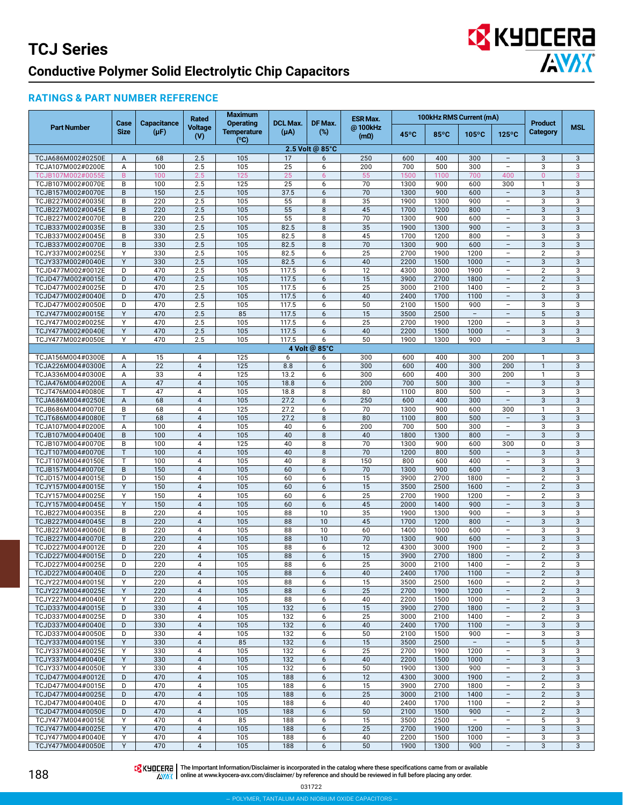# **EX** KYOCERA **AVAK**

### **RATINGS & PART NUMBER REFERENCE**

|                                        | Case         | <b>Capacitance</b> | <b>Rated</b>                     | <b>Maximum</b><br><b>Operating</b> | <b>DCL Max.</b> | DF Max.         | <b>ESR Max.</b>              |                |                | 100kHz RMS Current (mA)  |                                                      | <b>Product</b>                              |            |
|----------------------------------------|--------------|--------------------|----------------------------------|------------------------------------|-----------------|-----------------|------------------------------|----------------|----------------|--------------------------|------------------------------------------------------|---------------------------------------------|------------|
| <b>Part Number</b>                     | <b>Size</b>  | $(\mu F)$          | Voltage<br>(V)                   | <b>Temperature</b><br>(°C)         | $(\mu A)$       | $(\%)$          | @100kHz<br>(m <sub>0</sub> ) | $45^{\circ}$ C | $85^{\circ}$ C | $105^{\circ}$ C          | $125^{\circ}$ C                                      | <b>Category</b>                             | <b>MSL</b> |
|                                        |              |                    |                                  |                                    |                 | 2.5 Volt @ 85°C |                              |                |                |                          |                                                      |                                             |            |
| TCJA686M002#0250E<br>TCJA107M002#0200E | A<br>Α       | 68<br>100          | 2.5<br>2.5                       | 105<br>105                         | 17<br>25        | 6<br>6          | 250<br>200                   | 600<br>700     | 400<br>500     | 300<br>300               | $\qquad \qquad -$<br>$\qquad \qquad -$               | 3<br>3                                      | 3<br>3     |
| TCJB107M002#0055E                      | B            | 100                | 2.5                              | 125                                | 25              | 6               | 55                           | 1500           | 1100           | 700                      | 400                                                  | $\overline{0}$                              | 3          |
| TCJB107M002#0070E                      | B            | 100                | 2.5                              | 125                                | 25              | 6               | 70                           | 1300           | 900            | 600                      | 300                                                  | $\mathbf{1}$                                | 3          |
| TCJB157M002#0070E                      | B            | 150                | 2.5                              | 105                                | 37.5            | 6               | 70                           | 1300           | 900            | 600                      | $\overline{\phantom{a}}$                             | 3                                           | 3          |
| TCJB227M002#0035E                      | B            | $\overline{220}$   | 2.5                              | 105                                | 55              | 8               | 35                           | 1900           | 1300           | 900                      | $\overline{\phantom{0}}$                             | 3                                           | 3          |
| TCJB227M002#0045E                      | B            | 220                | 2.5                              | 105                                | 55              | 8               | 45                           | 1700           | 1200           | 800                      | $\overline{a}$                                       | 3                                           | 3          |
| TCJB227M002#0070E                      | B            | 220                | 2.5                              | 105                                | 55              | 8               | 70<br>35                     | 1300           | 900            | 600<br>900               | ÷,<br>$\overline{a}$                                 | 3                                           | 3          |
| TCJB337M002#0035E<br>TCJB337M002#0045E | $\sf B$<br>B | 330<br>330         | 2.5<br>2.5                       | 105<br>105                         | 82.5<br>82.5    | 8<br>8          | 45                           | 1900<br>1700   | 1300<br>1200   | 800                      | -                                                    | $\sqrt{3}$<br>3                             | 3<br>3     |
| TCJB337M002#0070E                      | B            | 330                | 2.5                              | 105                                | 82.5            | 8               | 70                           | 1300           | 900            | 600                      | $\overline{a}$                                       | 3                                           | 3          |
| TCJY337M002#0025E                      | Υ            | 330                | 2.5                              | 105                                | 82.5            | 6               | 25                           | 2700           | 1900           | 1200                     | $\overline{\phantom{0}}$                             | $\overline{2}$                              | 3          |
| TCJY337M002#0040E                      | Y            | 330                | 2.5                              | 105                                | 82.5            | 6               | 40                           | 2200           | 1500           | 1000                     | $\overline{a}$                                       | 3                                           | 3          |
| TCJD477M002#0012E                      | D            | 470                | 2.5                              | 105                                | 117.5           | 6               | 12                           | 4300           | 3000           | 1900                     | $\overline{\phantom{0}}$                             | $\overline{2}$                              | 3          |
| TCJD477M002#0015E<br>TCJD477M002#0025E | D<br>D       | 470<br>470         | 2.5<br>2.5                       | 105<br>105                         | 117.5<br>117.5  | 6<br>6          | 15<br>25                     | 3900<br>3000   | 2700<br>2100   | 1800<br>1400             | $\overline{\phantom{a}}$<br>$\overline{\phantom{0}}$ | $\overline{2}$<br>$\overline{2}$            | 3<br>3     |
| TCJD477M002#0040E                      | D            | 470                | 2.5                              | 105                                | 117.5           | 6               | 40                           | 2400           | 1700           | 1100                     | $\overline{\phantom{0}}$                             | 3                                           | 3          |
| TCJD477M002#0050E                      | D            | 470                | 2.5                              | 105                                | 117.5           | 6               | 50                           | 2100           | 1500           | 900                      |                                                      | 3                                           | 3          |
| TCJY477M002#0015E                      | Y            | 470                | 2.5                              | 85                                 | 117.5           | 6               | 15                           | 3500           | 2500           | $\overline{\phantom{m}}$ | $\overline{a}$                                       | 5                                           | 3          |
| TCJY477M002#0025E                      | Y            | 470                | 2.5                              | 105                                | 117.5           | 6               | 25                           | 2700           | 1900           | 1200                     | $\overline{\phantom{0}}$                             | 3                                           | 3          |
| TCJY477M002#0040E<br>TCJY477M002#0050E | Y<br>Y       | 470<br>470         | 2.5<br>2.5                       | 105<br>105                         | 117.5<br>117.5  | 6<br>6          | 40<br>50                     | 2200<br>1900   | 1500<br>1300   | 1000<br>900              | $\overline{a}$<br>$\overline{a}$                     | $\sqrt{3}$<br>3                             | 3<br>3     |
|                                        |              |                    |                                  |                                    |                 | 4 Volt @ 85°C   |                              |                |                |                          |                                                      |                                             |            |
| TCJA156M004#0300E                      | Α            | 15                 | 4                                | 125                                | 6               | 6               | 300                          | 600            | 400            | 300                      | 200                                                  | 1                                           | 3          |
| TCJA226M004#0300E                      | A            | $\overline{22}$    | $\overline{4}$                   | 125                                | 8.8             | 6               | 300                          | 600            | 400            | 300                      | 200                                                  | $\mathbf{1}$                                | 3          |
| TCJA336M004#0300E                      | Α            | 33                 | 4                                | 125                                | 13.2            | 6               | 300                          | 600            | 400            | 300                      | 200                                                  | $\mathbf{1}$                                | 3          |
| TCJA476M004#0200E                      | A            | 47                 | $\overline{4}$                   | 105                                | 18.8            | 6               | 200                          | 700            | 500            | 300                      | $\overline{\phantom{m}}$                             | $\mathbf{3}$                                | 3          |
| TCJT476M004#0080E<br>TCJA686M004#0250E | T<br>A       | 47<br>68           | $\overline{4}$<br>$\overline{4}$ | 105<br>105                         | 18.8<br>27.2    | 8<br>6          | 80<br>250                    | 1100<br>600    | 800<br>400     | 500<br>300               | $\qquad \qquad -$<br>$\qquad \qquad -$               | 3<br>3                                      | 3<br>3     |
| TCJB686M004#0070E                      | B            | 68                 | 4                                | 125                                | 27.2            | 6               | 70                           | 1300           | 900            | 600                      | 300                                                  | $\mathbf{1}$                                | 3          |
| TCJT686M004#0080E                      | T            | 68                 | $\overline{4}$                   | 105                                | 27.2            | 8               | 80                           | 1100           | 800            | 500                      | $\overline{a}$                                       | $\mathbf{3}$                                | 3          |
| TCJA107M004#0200E                      | Α            | 100                | 4                                | 105                                | 40              | 6               | 200                          | 700            | 500            | 300                      | $\overline{\phantom{0}}$                             | 3                                           | 3          |
| TCJB107M004#0040E                      | $\sf B$      | 100                | $\overline{4}$                   | 105                                | 40              | 8               | 40                           | 1800           | 1300           | 800                      | $\overline{\phantom{a}}$                             | 3                                           | 3          |
| TCJB107M004#0070E                      | B<br>T       | 100<br>100         | 4<br>$\overline{4}$              | 125                                | 40<br>40        | 8               | 70<br>70                     | 1300<br>1200   | 900            | 600                      | 300                                                  | $\mathsf 0$                                 | 3          |
| TCJT107M004#0070E<br>TCJT107M004#0150E | $\mathsf{T}$ | 100                | $\overline{4}$                   | 105<br>105                         | 40              | 8<br>8          | 150                          | 800            | 800<br>600     | 500<br>400               | -<br>$\overline{\phantom{0}}$                        | 3<br>3                                      | 3<br>3     |
| TCJB157M004#0070E                      | B            | 150                | $\overline{4}$                   | 105                                | 60              | 6               | 70                           | 1300           | 900            | 600                      |                                                      | 3                                           | 3          |
| TCJD157M004#0015E                      | D            | 150                | 4                                | 105                                | 60              | 6               | 15                           | 3900           | 2700           | 1800                     | $\overline{a}$                                       | $\overline{2}$                              | 3          |
| TCJY157M004#0015E                      | Y            | 150                | $\overline{4}$                   | 105                                | 60              | 6               | 15                           | 3500           | 2500           | 1600                     | $\overline{\phantom{a}}$                             | $\overline{2}$                              | 3          |
| TCJY157M004#0025E                      | Y            | 150                | $\overline{4}$                   | 105                                | 60              | 6               | 25                           | 2700           | 1900           | 1200                     | $\overline{\phantom{0}}$                             | $\overline{2}$                              | 3          |
| TCJY157M004#0045E<br>TCJB227M004#0035E | Y<br>B       | 150<br>220         | $\overline{4}$<br>4              | 105<br>105                         | 60<br>88        | 6<br>10         | 45<br>35                     | 2000<br>1900   | 1400<br>1300   | 900<br>900               | $\qquad \qquad -$<br>$\overline{\phantom{0}}$        | 3<br>3                                      | 3<br>3     |
| TCJB227M004#0045E                      | B            | $\overline{220}$   | $\overline{4}$                   | 105                                | 88              | 10              | 45                           | 1700           | 1200           | 800                      | $\overline{a}$                                       | 3                                           | 3          |
| TCJB227M004#0060E                      | B            | 220                | 4                                | 105                                | 88              | 10              | 60                           | 1400           | 1000           | 600                      | $\overline{\phantom{0}}$                             | 3                                           | 3          |
| TCJB227M004#0070E                      | B            | 220                | $\overline{4}$                   | 105                                | 88              | 10              | 70                           | 1300           | 900            | 600                      | $\overline{a}$                                       | 3                                           | 3          |
| TCJD227M004#0012E                      | D            | 220                | $\overline{4}$                   | 105                                | 88              | 6               | 12                           | 4300           | 3000           | 1900                     | $\overline{\phantom{0}}$                             | $\overline{2}$                              | 3          |
| TCJD227M004#0015E<br>TCJD227M004#0025E | D<br>D       | 220<br>220         | $\overline{4}$<br>4              | 105<br>105                         | 88<br>88        | 6<br>6          | 15<br>25                     | 3900<br>3000   | 2700<br>2100   | 1800<br>1400             | $\qquad \qquad -$<br>$\overline{\phantom{0}}$        | $\overline{2}$<br>$\overline{2}$            | 3<br>3     |
| TCJD227M004#0040E                      | D            | 220                | $\overline{4}$                   | 105                                | 88              | 6               | 40                           | 2400           | 1700           | 1100                     |                                                      | $\overline{2}$                              | 3          |
| TCJY227M004#0015E                      | Y            | 220                | 4                                | 105                                | 88              | 6               | 15                           | 3500           | 2500           | 1600                     | $\overline{\phantom{0}}$                             | $\overline{2}$                              | 3          |
| TCJY227M004#0025E                      | Y            | 220                | $\overline{4}$                   | 105                                | 88              | 6               | 25                           | 2700           | 1900           | 1200                     | $\overline{\phantom{a}}$                             | $\overline{2}$                              | 3          |
| TCJY227M004#0040E                      | Y            | 220                | $\overline{4}$                   | 105                                | 88              | 6               | 40                           | 2200           | 1500           | 1000                     | $\overline{\phantom{0}}$                             | 3                                           | 3          |
| TCJD337M004#0015E                      | D            | 330                | $\overline{4}$                   | 105                                | 132             | 6               | 15                           | 3900           | 2700           | 1800                     | $\qquad \qquad -$                                    | $\overline{2}$                              | 3          |
| TCJD337M004#0025E<br>TCJD337M004#0040E | D<br>D       | 330<br>330         | 4<br>$\overline{4}$              | 105<br>105                         | 132<br>132      | 6<br>6          | 25<br>40                     | 3000<br>2400   | 2100<br>1700   | 1400<br>1100             | $\qquad \qquad -$<br>$\overline{a}$                  | $\overline{2}$<br>$\ensuremath{\mathsf{3}}$ | 3<br>3     |
| TCJD337M004#0050E                      | D            | 330                | 4                                | 105                                | 132             | 6               | 50                           | 2100           | 1500           | 900                      | $\overline{\phantom{0}}$                             | 3                                           | 3          |
| TCJY337M004#0015E                      | Y            | 330                | $\overline{\mathbf{4}}$          | 85                                 | 132             | 6               | 15                           | 3500           | 2500           | $\overline{\phantom{a}}$ | $\qquad \qquad -$                                    | $\sqrt{5}$                                  | 3          |
| TCJY337M004#0025E                      | Y            | 330                | 4                                | 105                                | 132             | 6               | 25                           | 2700           | 1900           | 1200                     | $\overline{\phantom{0}}$                             | 3                                           | 3          |
| TCJY337M004#0040E                      | Υ            | 330                | $\overline{4}$                   | 105                                | 132             | 6               | 40                           | 2200           | 1500           | 1000                     | -                                                    | 3                                           | 3          |
| TCJY337M004#0050E                      | Y            | 330                | 4                                | 105                                | 132             | 6               | 50                           | 1900           | 1300           | 900                      | $\overline{\phantom{0}}$                             | 3                                           | 3          |
| TCJD477M004#0012E<br>TCJD477M004#0015E | D<br>D       | 470<br>470         | $\overline{4}$<br>4              | 105<br>105                         | 188<br>188      | 6<br>6          | 12<br>15                     | 4300<br>3900   | 3000<br>2700   | 1900<br>1800             | $\overline{a}$<br>L,                                 | $\overline{2}$<br>$\overline{2}$            | 3<br>3     |
| TCJD477M004#0025E                      | D            | 470                | $\overline{4}$                   | 105                                | 188             | 6               | 25                           | 3000           | 2100           | 1400                     | $\overline{\phantom{a}}$                             | $\overline{2}$                              | 3          |
| TCJD477M004#0040E                      | D            | 470                | 4                                | 105                                | 188             | 6               | 40                           | 2400           | 1700           | 1100                     | $\overline{\phantom{0}}$                             | $\overline{2}$                              | 3          |
| TCJD477M004#0050E                      | D            | 470                | $\overline{4}$                   | 105                                | 188             | 6               | 50                           | 2100           | 1500           | 900                      | $\qquad \qquad -$                                    | $\overline{2}$                              | 3          |
| TCJY477M004#0015E                      | Y            | 470                | 4                                | 85                                 | 188             | 6               | 15                           | 3500           | 2500           | $\overline{\phantom{a}}$ | $\overline{\phantom{0}}$                             | 5                                           | 3          |
| TCJY477M004#0025E<br>TCJY477M004#0040E | Y<br>Y       | 470<br>470         | $\overline{4}$<br>4              | 105<br>105                         | 188<br>188      | 6<br>6          | 25<br>40                     | 2700<br>2200   | 1900<br>1500   | 1200<br>1000             | $\overline{a}$<br>$\overline{\phantom{0}}$           | $\sqrt{3}$<br>3                             | 3<br>3     |
| TCJY477M004#0050E                      | Y            | 470                | $\overline{4}$                   | 105                                | 188             | 6               | 50                           | 1900           | 1300           | 900                      | $\overline{\phantom{a}}$                             | 3                                           | 3          |
|                                        |              |                    |                                  |                                    |                 |                 |                              |                |                |                          |                                                      |                                             |            |

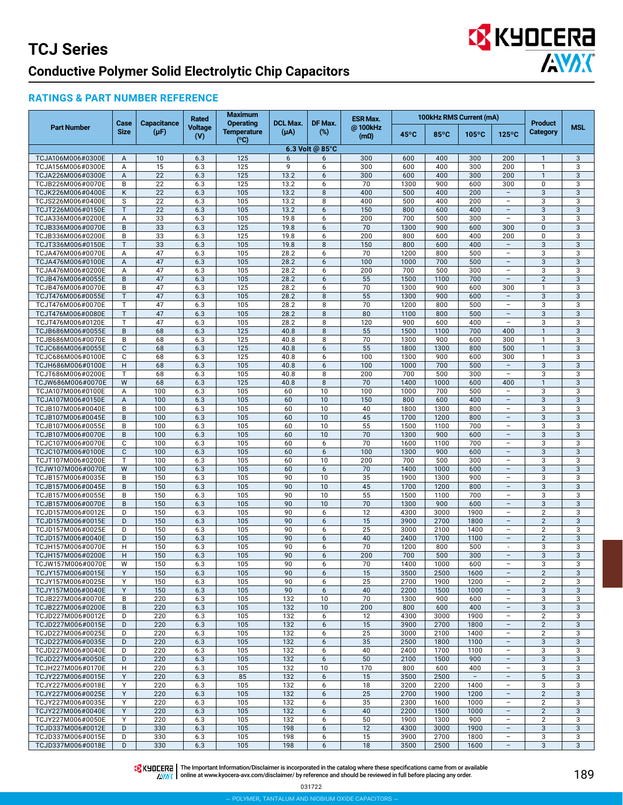## **EX KYOCERA ANDIC**

#### **RATINGS & PART NUMBER REFERENCE**

|                                        | Case         | <b>Capacitance</b> | <b>Rated</b>   | <b>Maximum</b><br><b>Operating</b> | <b>DCL Max.</b> | DF Max.         | <b>ESR Max.</b>              |              |              | 100kHz RMS Current (mA)  |                                                      | <b>Product</b>                 |                   |
|----------------------------------------|--------------|--------------------|----------------|------------------------------------|-----------------|-----------------|------------------------------|--------------|--------------|--------------------------|------------------------------------------------------|--------------------------------|-------------------|
| <b>Part Number</b>                     | <b>Size</b>  | $(\mu F)$          | Voltage<br>(V) | <b>Temperature</b><br>(°C)         | $(\mu A)$       | $(\%)$          | @100kHz<br>(m <sub>0</sub> ) | 45°C         | 85°C         | $105^{\circ}$ C          | $125^{\circ}$ C                                      | Category                       | <b>MSL</b>        |
|                                        |              |                    |                |                                    |                 | 6.3 Volt @ 85°C |                              |              |              |                          |                                                      |                                |                   |
| TCJA106M006#0300E<br>TCJA156M006#0300E | A            | 10<br>15           | 6.3<br>6.3     | 125<br>125                         | 6<br>9          | 6<br>6          | 300<br>300                   | 600<br>600   | 400<br>400   | 300<br>300               | 200<br>200                                           | $\mathbf{1}$<br>$\mathbf{1}$   | 3<br>3            |
| TCJA226M006#0300E                      | Α<br>A       | 22                 | 6.3            | 125                                | 13.2            | 6               | 300                          | 600          | 400          | 300                      | 200                                                  | $\mathbf{1}$                   | $\sqrt{3}$        |
| TCJB226M006#0070E                      | B            | 22                 | 6.3            | 125                                | 13.2            | 6               | 70                           | 1300         | 900          | 600                      | 300                                                  | 0                              | 3                 |
| TCJK226M006#0400E                      | K            | 22                 | 6.3            | 105                                | 13.2            | 8               | 400                          | 500          | 400          | 200                      | $\overline{\phantom{a}}$                             | $\mathbf{3}$                   | 3                 |
| TCJS226M006#0400E                      | S            | 22                 | 6.3            | 105                                | 13.2            | 8               | 400                          | 500          | 400          | 200                      | $\overline{\phantom{0}}$                             | 3                              | 3                 |
| TCJT226M006#0150E                      | $\mathsf{T}$ | 22                 | 6.3            | 105                                | 13.2            | 6               | 150                          | 800          | 600          | 400                      | $\equiv$                                             | $\mathbf{3}$                   | 3                 |
| TCJA336M006#0200E                      | Α            | 33                 | 6.3            | 105                                | 19.8            | 6               | 200                          | 700          | 500          | 300                      | $\overline{\phantom{a}}$                             | 3                              | 3                 |
| TCJB336M006#0070E<br>TCJB336M006#0200E | $\sf B$<br>B | 33<br>33           | 6.3<br>6.3     | 125<br>125                         | 19.8<br>19.8    | 6<br>6          | 70<br>200                    | 1300<br>800  | 900<br>600   | 600<br>400               | 300<br>200                                           | $\pmb{0}$<br>0                 | $\mathbf{3}$<br>3 |
| TCJT336M006#0150E                      | Т            | 33                 | 6.3            | 105                                | 19.8            | 8               | 150                          | 800          | 600          | 400                      | $\overline{\phantom{a}}$                             | $\mathbf{3}$                   | $\mathbf{3}$      |
| TCJA476M006#0070E                      | Α            | 47                 | 6.3            | 105                                | 28.2            | 6               | 70                           | 1200         | 800          | 500                      | $\overline{\phantom{0}}$                             | 3                              | 3                 |
| TCJA476M006#0100E                      | A            | 47                 | 6.3            | 105                                | 28.2            | 6               | 100                          | 1000         | 700          | 500                      | $\equiv$                                             | $\mathbf{3}$                   | 3                 |
| TCJA476M006#0200E                      | Α            | 47                 | 6.3            | 105                                | 28.2            | 6               | 200                          | 700          | 500          | 300                      | $\qquad \qquad -$                                    | 3                              | 3                 |
| TCJB476M006#0055E<br>TCJB476M006#0070E | $\sf B$<br>B | 47<br>47           | 6.3<br>6.3     | 105<br>125                         | 28.2<br>28.2    | 6<br>6          | 55<br>70                     | 1500<br>1300 | 1100<br>900  | 700<br>600               | $\overline{\phantom{a}}$<br>300                      | $\overline{2}$<br>$\mathbf{1}$ | 3<br>3            |
| TCJT476M006#0055E                      | $\mathsf{T}$ | 47                 | 6.3            | 105                                | 28.2            | 8               | 55                           | 1300         | 900          | 600                      | $\overline{\phantom{a}}$                             | $\ensuremath{\mathsf{3}}$      | 3                 |
| TCJT476M006#0070E                      | T            | 47                 | 6.3            | 105                                | 28.2            | 8               | 70                           | 1200         | 800          | 500                      | $\overline{\phantom{0}}$                             | 3                              | 3                 |
| TCJT476M006#0080E                      | $\mathsf{T}$ | 47                 | 6.3            | 105                                | 28.2            | 8               | 80                           | 1100         | 800          | 500                      | $\overline{\phantom{a}}$                             | $\mathbf{3}$                   | 3                 |
| TCJT476M006#0120E                      | T            | 47                 | 6.3            | 105                                | 28.2            | 8               | 120                          | 900          | 600          | 400                      | $\overline{\phantom{a}}$                             | 3                              | 3                 |
| TCJB686M006#0055E                      | $\sf B$      | 68                 | 6.3            | 125                                | 40.8            | 8               | 55                           | 1500         | 1100         | 700                      | 400                                                  | $\mathbf{1}$                   | $\mathbf{3}$      |
| TCJB686M006#0070E<br>TCJC686M006#0055E | B<br>C       | 68<br>68           | 6.3<br>6.3     | 125<br>125                         | 40.8<br>40.8    | 8<br>6          | 70<br>55                     | 1300<br>1800 | 900<br>1300  | 600<br>800               | 300<br>500                                           | $\mathbf{1}$<br>$\mathbf{1}$   | 3<br>$\mathbf{3}$ |
| TCJC686M006#0100E                      | C            | 68                 | 6.3            | 125                                | 40.8            | 6               | 100                          | 1300         | 900          | 600                      | 300                                                  | $\mathbf{1}$                   | 3                 |
| TCJH686M006#0100E                      | H            | 68                 | 6.3            | 105                                | 40.8            | 6               | 100                          | 1000         | 700          | 500                      | $\overline{\phantom{a}}$                             | $\mathbf{3}$                   | 3                 |
| TCJT686M006#0200E                      | T            | 68                 | 6.3            | 105                                | 40.8            | 8               | 200                          | 700          | 500          | 300                      | $\overline{\phantom{a}}$                             | 3                              | 3                 |
| TCJW686M006#0070E                      | W            | 68                 | 6.3            | 125                                | 40.8            | 8               | 70                           | 1400         | 1000         | 600                      | 400                                                  | $\mathbf{1}$                   | $\sqrt{3}$        |
| TCJA107M006#0100E                      | Α            | 100                | 6.3            | 105                                | 60              | 10              | 100                          | 1000         | 700          | 500                      | $\overline{\phantom{a}}$                             | 3                              | 3                 |
| TCJA107M006#0150E<br>TCJB107M006#0040E | A<br>B       | 100<br>100         | 6.3<br>6.3     | 105<br>105                         | 60<br>60        | 10<br>10        | 150<br>40                    | 800<br>1800  | 600<br>1300  | 400<br>800               | $\qquad \qquad -$<br>-                               | $\mathbf{3}$<br>3              | 3<br>3            |
| TCJB107M006#0045E                      | B            | 100                | 6.3            | 105                                | 60              | 10              | 45                           | 1700         | 1200         | 800                      | $\equiv$                                             | $\mathbf{3}$                   | 3                 |
| TCJB107M006#0055E                      | B            | 100                | 6.3            | 105                                | 60              | 10              | 55                           | 1500         | 1100         | 700                      | ÷                                                    | 3                              | 3                 |
| TCJB107M006#0070E                      | $\sf B$      | 100                | 6.3            | 105                                | 60              | 10 <sup>1</sup> | 70                           | 1300         | 900          | 600                      | $\overline{\phantom{a}}$                             | $\mathbf{3}$                   | 3                 |
| TCJC107M006#0070E                      | C            | 100                | 6.3            | 105                                | 60              | 6               | 70                           | 1600         | 1100         | 700                      | $\qquad \qquad -$                                    | 3                              | 3                 |
| TCJC107M006#0100E                      | C<br>T       | 100                | 6.3            | 105                                | 60              | 6<br>10         | 100                          | 1300         | 900          | 600                      | $\overline{\phantom{a}}$<br>$\overline{\phantom{0}}$ | 3                              | $\mathbf{3}$      |
| TCJT107M006#0200E<br>TCJW107M006#0070E | W            | 100<br>100         | 6.3<br>6.3     | 105<br>105                         | 60<br>60        | 6               | 200<br>70                    | 700<br>1400  | 500<br>1000  | 300<br>600               | $\overline{\phantom{a}}$                             | 3<br>3                         | 3<br>3            |
| TCJB157M006#0035E                      | B            | 150                | 6.3            | 105                                | 90              | 10              | 35                           | 1900         | 1300         | 900                      | $\qquad \qquad -$                                    | 3                              | 3                 |
| TCJB157M006#0045E                      | $\sf B$      | 150                | 6.3            | 105                                | 90              | 10              | 45                           | 1700         | 1200         | 800                      | $\overline{\phantom{a}}$                             | $\mathbf{3}$                   | 3                 |
| TCJB157M006#0055E                      | B            | 150                | 6.3            | 105                                | 90              | 10              | 55                           | 1500         | 1100         | 700                      | $\overline{\phantom{0}}$                             | 3                              | 3                 |
| TCJB157M006#0070E                      | B            | 150                | 6.3            | 105                                | 90              | 10              | 70                           | 1300         | 900          | 600                      | $\overline{\phantom{a}}$                             | 3                              | 3                 |
| TCJD157M006#0012E<br>TCJD157M006#0015E | D<br>D       | 150<br>150         | 6.3<br>6.3     | 105<br>105                         | 90<br>90        | 6<br>6          | 12<br>15                     | 4300<br>3900 | 3000<br>2700 | 1900<br>1800             | $\overline{\phantom{a}}$                             | $\sqrt{2}$<br>$\overline{2}$   | 3<br>3            |
| TCJD157M006#0025E                      | D            | 150                | 6.3            | 105                                | 90              | 6               | 25                           | 3000         | 2100         | 1400                     | $\overline{\phantom{a}}$                             | $\overline{2}$                 | 3                 |
| TCJD157M006#0040E                      | D            | 150                | 6.3            | 105                                | 90              | 6               | 40                           | 2400         | 1700         | 1100                     | $\overline{\phantom{a}}$                             | $\overline{2}$                 | $\mathbf{3}$      |
| TCJH157M006#0070E                      | н            | 150                | 6.3            | 105                                | 90              | 6               | 70                           | 1200         | 800          | 500                      | $\overline{\phantom{a}}$                             | 3                              | 3                 |
| TCJH157M006#0200E                      | H            | 150                | 6.3            | 105                                | 90              | 6               | 200                          | 700          | 500          | 300                      | $\overline{\phantom{a}}$                             | 3                              | 3                 |
| TCJW157M006#0070E                      | W            | 150                | 6.3            | 105                                | 90              | 6               | 70                           | 1400         | 1000         | 600                      | $\overline{\phantom{0}}$                             | 3                              | 3                 |
| TCJY157M006#0015E<br>TCJY157M006#0025E | Y<br>Υ       | 150<br>150         | 6.3<br>6.3     | 105<br>105                         | 90<br>90        | 6<br>6          | 15<br>25                     | 3500<br>2700 | 2500<br>1900 | 1600<br>1200             | $\overline{\phantom{a}}$<br>$\overline{\phantom{a}}$ | $\overline{2}$<br>2            | 3<br>3            |
| TCJY157M006#0040E                      | Y            | 150                | 6.3            | 105                                | 90              | 6               | 40                           | 2200         | 1500         | 1000                     | $\overline{\phantom{a}}$                             | $\ensuremath{\mathsf{3}}$      | 3                 |
| TCJB227M006#0070E                      | B            | 220                | 6.3            | 105                                | 132             | 10              | 70                           | 1300         | 900          | 600                      | $\qquad \qquad -$                                    | 3                              | 3                 |
| TCJB227M006#0200E                      | B            | 220                | 6.3            | 105                                | 132             | 10              | 200                          | 800          | 600          | 400                      | $\overline{\phantom{a}}$                             | 3                              | 3                 |
| TCJD227M006#0012E                      | D            | 220                | 6.3            | 105                                | 132             | 6               | 12                           | 4300         | 3000         | 1900                     | $\overline{\phantom{0}}$                             | $\overline{2}$                 | 3                 |
| TCJD227M006#0015E                      | D            | 220                | 6.3            | 105                                | 132             | 6               | 15                           | 3900         | 2700         | 1800                     | $\overline{\phantom{a}}$                             | $\overline{2}$                 | 3                 |
| TCJD227M006#0025E<br>TCJD227M006#0035E | D<br>D       | 220<br>220         | 6.3<br>6.3     | 105<br>105                         | 132<br>132      | 6<br>6          | 25<br>35                     | 3000<br>2500 | 2100<br>1800 | 1400<br>1100             | $\overline{\phantom{a}}$<br>$\qquad \qquad -$        | 2<br>$\mathbf{3}$              | 3<br>3            |
| TCJD227M006#0040E                      | D            | 220                | 6.3            | 105                                | 132             | 6               | 40                           | 2400         | 1700         | 1100                     | $\overline{\phantom{a}}$                             | 3                              | 3                 |
| TCJD227M006#0050E                      | D            | 220                | 6.3            | 105                                | 132             | 6               | 50                           | 2100         | 1500         | 900                      | $\qquad \qquad -$                                    | 3                              | 3                 |
| TCJH227M006#0170E                      | н            | 220                | 6.3            | 105                                | 132             | 10              | 170                          | 800          | 600          | 400                      | $\qquad \qquad -$                                    | 3                              | 3                 |
| TCJY227M006#0015E                      | Y            | 220                | 6.3            | 85                                 | 132             | 6               | 15                           | 3500         | 2500         | $\overline{\phantom{a}}$ | $\equiv$                                             | $5\phantom{.0}$                | 3                 |
| TCJY227M006#0018E                      | Υ            | 220                | 6.3            | 105                                | 132             | 6               | 18                           | 3200         | 2200         | 1400                     | $\overline{\phantom{0}}$                             | 3                              | 3                 |
| TCJY227M006#0025E<br>TCJY227M006#0035E | Y<br>Υ       | 220<br>220         | 6.3<br>6.3     | 105<br>105                         | 132<br>132      | 6<br>6          | 25<br>35                     | 2700<br>2300 | 1900<br>1600 | 1200<br>1000             | $\overline{\phantom{a}}$<br>$\overline{\phantom{0}}$ | $\overline{2}$<br>2            | 3<br>3            |
| TCJY227M006#0040E                      | Y            | 220                | 6.3            | 105                                | 132             | 6               | 40                           | 2200         | 1500         | 1000                     | $\qquad \qquad -$                                    | $\overline{2}$                 | 3                 |
| TCJY227M006#0050E                      | Y            | 220                | 6.3            | 105                                | 132             | 6               | 50                           | 1900         | 1300         | 900                      | $\overline{\phantom{0}}$                             | $\overline{2}$                 | 3                 |
| TCJD337M006#0012E                      | D            | 330                | 6.3            | 105                                | 198             | 6               | 12                           | 4300         | 3000         | 1900                     | $\overline{\phantom{a}}$                             | 3                              | 3                 |
| TCJD337M006#0015E                      | D            | 330                | 6.3            | 105                                | 198             | 6               | 15                           | 3900         | 2700         | 1800                     | $\overline{\phantom{a}}$                             | 3                              | 3                 |
| TCJD337M006#0018E                      | D            | 330                | 6.3            | 105                                | 198             | 6               | 18                           | 3500         | 2500         | 1600                     | $\overline{\phantom{a}}$                             | 3                              | 3                 |

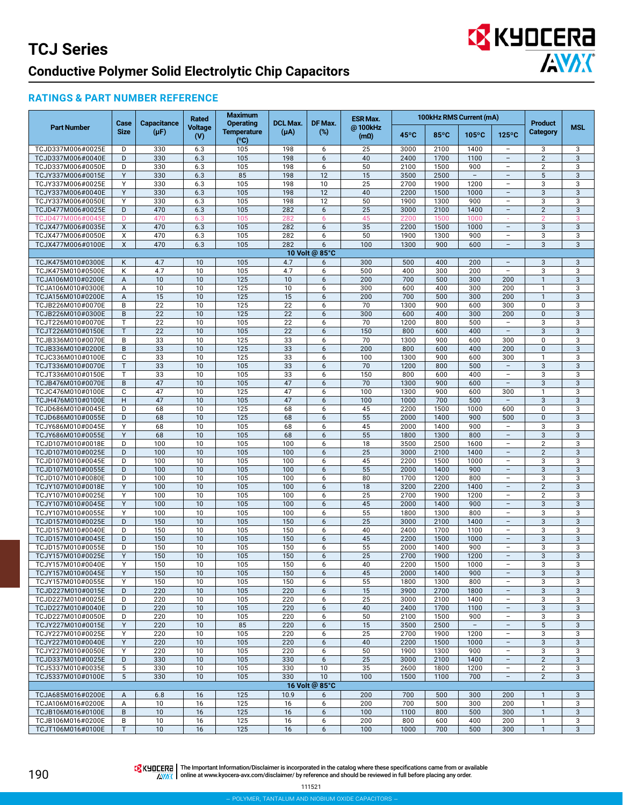

#### **RATINGS & PART NUMBER REFERENCE**

|                                        |                     |                          | Rated           | <b>Maximum</b>                                 |                              |                   | <b>ESR Max.</b>        |                | 100kHz RMS Current (mA) |                                 |                                                      | <b>Product</b>              |              |
|----------------------------------------|---------------------|--------------------------|-----------------|------------------------------------------------|------------------------------|-------------------|------------------------|----------------|-------------------------|---------------------------------|------------------------------------------------------|-----------------------------|--------------|
| <b>Part Number</b>                     | Case<br><b>Size</b> | Capacitance<br>$(\mu F)$ | Voltage<br>(V)  | <b>Operating</b><br><b>Temperature</b><br>(°C) | <b>DCL Max.</b><br>$(\mu A)$ | DF Max.<br>$(\%)$ | @100kHz<br>$(m\Omega)$ | $45^{\circ}$ C | $85^{\circ}$ C          | $105^{\circ}$ C                 | $125^{\circ}$ C                                      | Category                    | <b>MSL</b>   |
| TCJD337M006#0025E                      | D                   | 330                      | 6.3             | 105                                            | 198                          | 6                 | 25                     | 3000           | 2100                    | 1400                            | $\qquad \qquad -$                                    | 3                           | 3            |
| TCJD337M006#0040E                      | D                   | 330                      | 6.3             | 105                                            | 198                          | 6                 | 40                     | 2400           | 1700                    | 1100                            | $\overline{\phantom{0}}$                             | $\overline{2}$              | 3            |
| TCJD337M006#0050E                      | D                   | 330                      | 6.3             | 105                                            | 198                          | 6                 | 50                     | 2100           | 1500                    | 900                             | $\overline{\phantom{0}}$                             | $\overline{2}$              | 3            |
| TCJY337M006#0015E<br>TCJY337M006#0025E | Y<br>Y              | 330                      | 6.3             | 85                                             | 198                          | 12                | 15                     | 3500           | 2500                    | $-$                             | $\overline{\phantom{a}}$                             | 5                           | 3<br>3       |
| TCJY337M006#0040E                      | Υ                   | 330<br>330               | 6.3<br>6.3      | 105<br>105                                     | 198<br>198                   | 10<br>12          | 25<br>40               | 2700<br>2200   | 1900<br>1500            | 1200<br>1000                    | $\overline{a}$<br>$\qquad \qquad -$                  | 3<br>3                      | 3            |
| TCJY337M006#0050E                      | Y                   | 330                      | 6.3             | 105                                            | 198                          | 12                | 50                     | 1900           | 1300                    | 900                             | $\overline{\phantom{0}}$                             | 3                           | 3            |
| TCJD477M006#0025E                      | D                   | 470                      | 6.3             | 105                                            | 282                          | 6                 | 25                     | 3000           | 2100                    | 1400                            | $\overline{a}$                                       | $\overline{2}$              | 3            |
| TCJD477M006#0045E                      | D                   | 470                      | 6.3             | 105                                            | 282                          | 6                 | 45                     | 2200           | 1500                    | 1000                            |                                                      | $\overline{2}$              | 3            |
| TCJX477M006#0035E                      | X                   | 470                      | 6.3             | 105                                            | 282                          | 6                 | 35                     | 2200           | 1500                    | 1000                            | $\overline{\phantom{a}}$                             | $\sqrt{3}$                  | 3            |
| TCJX477M006#0050E                      | X                   | 470                      | 6.3             | 105                                            | 282                          | 6                 | 50                     | 1900           | 1300                    | 900                             | $\overline{\phantom{a}}$                             | 3                           | 3            |
| TCJX477M006#0100E                      | X                   | 470                      | 6.3             | 105                                            | 282                          | 6                 | 100                    | 1300           | 900                     | 600                             | $\overline{a}$                                       | 3                           | 3            |
|                                        |                     |                          |                 |                                                |                              | 10 Volt @ 85°C    |                        |                |                         |                                 |                                                      |                             |              |
| TCJK475M010#0300E                      | K                   | 4.7                      | 10              | 105                                            | 4.7                          | 6                 | 300                    | 500            | 400                     | 200                             | $\qquad \qquad -$                                    | 3                           | 3            |
| TCJK475M010#0500E                      | K                   | 4.7                      | 10              | 105                                            | 4.7                          | 6                 | 500                    | 400            | 300                     | 200                             | $\overline{\phantom{0}}$                             | 3                           | 3            |
| TCJA106M010#0200E                      | A                   | 10                       | 10              | 125                                            | 10                           | 6                 | 200                    | 700            | 500                     | 300                             | 200                                                  | $\mathbf{1}$                | 3            |
| TCJA106M010#0300E                      | Α                   | 10                       | $\overline{10}$ | 125                                            | 10                           | 6                 | 300                    | 600            | 400                     | 300                             | 200                                                  | $\mathbf{1}$                | 3            |
| TCJA156M010#0200E<br>TCJB226M010#0070E | A<br>B              | 15<br>22                 | 10<br>10        | 125<br>125                                     | 15<br>22                     | 6<br>6            | 200<br>70              | 700<br>1300    | 500<br>900              | 300<br>600                      | 200<br>300                                           | $\mathbf{1}$<br>0           | 3<br>3       |
| TCJB226M010#0300E                      | B                   | 22                       | 10              | 125                                            | $\overline{22}$              | 6                 | 300                    | 600            | 400                     | 300                             | 200                                                  | $\mathbf{0}$                | 3            |
| TCJT226M010#0070E                      | T                   | 22                       | 10              | 105                                            | 22                           | 6                 | 70                     | 1200           | 800                     | 500                             |                                                      | 3                           | 3            |
| TCJT226M010#0150E                      | T                   | 22                       | 10              | 105                                            | 22                           | 6                 | 150                    | 800            | 600                     | 400                             | $\equiv$                                             | 3                           | 3            |
| TCJB336M010#0070E                      | B                   | 33                       | 10              | 125                                            | 33                           | 6                 | 70                     | 1300           | 900                     | 600                             | 300                                                  | $\mathbf 0$                 | 3            |
| TCJB336M010#0200E                      | $\sf B$             | 33                       | 10              | 125                                            | 33                           | 6                 | 200                    | 800            | 600                     | 400                             | 200                                                  | $\mathbf{0}$                | 3            |
| TCJC336M010#0100E                      | C                   | 33                       | 10              | 125                                            | 33                           | 6                 | 100                    | 1300           | 900                     | 600                             | 300                                                  | $\mathbf{1}$                | 3            |
| TCJT336M010#0070E                      | T                   | 33                       | 10              | 105                                            | 33                           | 6                 | 70                     | 1200           | 800                     | 500                             | $\overline{a}$                                       | 3                           | 3            |
| TCJT336M010#0150E                      | T                   | 33                       | 10              | 105                                            | 33                           | 6                 | 150                    | 800            | 600                     | 400                             | $\overline{\phantom{0}}$                             | 3                           | 3            |
| TCJB476M010#0070E                      | B                   | 47                       | 10              | 105                                            | 47                           | 6                 | 70                     | 1300           | 900                     | 600                             | $\overline{\phantom{a}}$                             | 3                           | 3            |
| TCJC476M010#0100E                      | $\mathbb C$         | 47                       | 10              | 125                                            | 47                           | 6                 | 100                    | 1300           | 900                     | 600                             | 300                                                  | $\mathbf{1}$                | 3            |
| TCJH476M010#0100E                      | H                   | 47                       | 10              | 105                                            | 47                           | 6                 | 100                    | 1000           | 700                     | 500                             | $\overline{\phantom{a}}$                             | 3                           | 3            |
| TCJD686M010#0045E<br>TCJD686M010#0055E | D<br>D              | 68<br>68                 | 10<br>10        | 125<br>125                                     | 68<br>68                     | 6<br>6            | 45<br>55               | 2200<br>2000   | 1500<br>1400            | 1000<br>900                     | 600<br>500                                           | $\mathbf 0$<br>$\mathbf{0}$ | 3<br>3       |
| TCJY686M010#0045E                      | Y                   | 68                       | 10              | 105                                            | 68                           | 6                 | 45                     | 2000           | 1400                    | 900                             | $\overline{\phantom{0}}$                             | 3                           | 3            |
| TCJY686M010#0055E                      | Y                   | 68                       | 10              | 105                                            | 68                           | 6                 | 55                     | 1800           | 1300                    | 800                             | $\equiv$                                             | 3                           | 3            |
| TCJD107M010#0018E                      | D                   | 100                      | 10              | 105                                            | 100                          | 6                 | 18                     | 3500           | 2500                    | 1600                            | $\overline{\phantom{a}}$                             | 2                           | 3            |
| TCJD107M010#0025E                      | D                   | 100                      | 10              | 105                                            | 100                          | 6                 | 25                     | 3000           | 2100                    | 1400                            | $\qquad \qquad -$                                    | $\overline{2}$              | 3            |
| TCJD107M010#0045E                      | D                   | 100                      | 10              | 105                                            | 100                          | 6                 | 45                     | 2200           | 1500                    | 1000                            | $\overline{\phantom{a}}$                             | 3                           | 3            |
| TCJD107M010#0055E                      | D                   | 100                      | 10              | 105                                            | 100                          | 6                 | 55                     | 2000           | 1400                    | 900                             |                                                      | 3                           | 3            |
| TCJD107M010#0080E                      | D                   | 100                      | 10              | 105                                            | 100                          | 6                 | 80                     | 1700           | 1200                    | 800                             | $\overline{a}$                                       | 3                           | 3            |
| TCJY107M010#0018E                      | Y                   | 100                      | 10              | 105                                            | 100                          | 6                 | 18                     | 3200           | 2200                    | 1400                            | $\equiv$                                             | 2                           | 3            |
| TCJY107M010#0025E                      | Y                   | 100                      | $\overline{10}$ | 105                                            | 100                          | 6                 | 25                     | 2700           | 1900                    | 1200                            | $\overline{\phantom{0}}$                             | $\overline{2}$              | 3            |
| TCJY107M010#0045E                      | Y                   | 100                      | 10              | 105                                            | 100                          | $6\,$             | 45                     | 2000           | 1400                    | 900                             | $\overline{\phantom{a}}$<br>$\overline{\phantom{0}}$ | 3                           | 3            |
| TCJY107M010#0055E<br>TCJD157M010#0025E | Y<br>D              | 100<br>150               | 10<br>10        | 105<br>105                                     | 100<br>150                   | 6<br>6            | 55<br>25               | 1800<br>3000   | 1300<br>2100            | 800<br>1400                     | $\overline{a}$                                       | 3<br>3                      | 3<br>3       |
| TCJD157M010#0040E                      | D                   | 150                      | 10              | 105                                            | 150                          | 6                 | 40                     | 2400           | 1700                    | 1100                            | $\overline{\phantom{0}}$                             | 3                           | 3            |
| TCJD157M010#0045E                      | D                   | 150                      | 10              | 105                                            | 150                          | 6                 | 45                     | 2200           | 1500                    | 1000                            | $\overline{a}$                                       | 3                           | 3            |
| TCJD157M010#0055E                      | D                   | 150                      | 10              | 105                                            | 150                          | 6                 | 55                     | 2000           | 1400                    | 900                             | $\overline{\phantom{a}}$                             | 3                           | 3            |
| TCJY157M010#0025E                      | Υ                   | 150                      | 10              | 105                                            | 150                          | $6\,$             | 25                     | 2700           | 1900                    | 1200                            | $\qquad \qquad -$                                    | 3                           | 3            |
| TCJY157M010#0040E                      | Υ                   | 150                      | 10              | 105                                            | 150                          | 6                 | 40                     | 2200           | 1500                    | 1000                            | -                                                    | 3                           | 3            |
| TCJY157M010#0045E                      | Y                   | 150                      | 10              | 105                                            | 150                          | 6                 | 45                     | 2000           | 1400                    | 900                             | $\overline{\phantom{a}}$                             | 3                           | 3            |
| TCJY157M010#0055E                      | Y                   | 150                      | 10              | 105                                            | 150                          | 6                 | 55                     | 1800           | 1300                    | 800                             | $\overline{\phantom{0}}$                             | 3                           | 3            |
| TCJD227M010#0015E                      | D                   | 220                      | 10              | 105                                            | 220                          | 6                 | 15                     | 3900           | 2700                    | 1800                            | L,                                                   | 3                           | 3            |
| TCJD227M010#0025E                      | D                   | 220                      | 10              | 105                                            | 220                          | 6                 | 25                     | 3000           | 2100                    | 1400                            | $\overline{\phantom{a}}$                             | 3                           | 3            |
| TCJD227M010#0040E                      | D                   | 220                      | 10              | 105                                            | 220                          | 6                 | 40                     | 2400           | 1700<br>1500            | 1100                            | $\overline{\phantom{a}}$<br>$\overline{a}$           | 3                           | 3            |
| TCJD227M010#0050E<br>TCJY227M010#0015E | D<br>Y              | 220<br>220               | 10<br>10        | 105<br>85                                      | 220<br>220                   | 6<br>6            | 50<br>15               | 2100<br>3500   | 2500                    | 900<br>$\overline{\phantom{a}}$ | $\overline{a}$                                       | 3<br>$5\,$                  | 3<br>3       |
| TCJY227M010#0025E                      | Y                   | 220                      | 10              | 105                                            | 220                          | 6                 | 25                     | 2700           | 1900                    | 1200                            | $\overline{a}$                                       | 3                           | 3            |
| TCJY227M010#0040E                      | Y                   | 220                      | 10              | 105                                            | 220                          | 6                 | 40                     | 2200           | 1500                    | 1000                            | L,                                                   | $\sqrt{3}$                  | 3            |
| TCJY227M010#0050E                      | Y                   | 220                      | 10              | 105                                            | 220                          | 6                 | 50                     | 1900           | 1300                    | 900                             | $\overline{\phantom{a}}$                             | 3                           | 3            |
| TCJD337M010#0025E                      | D                   | 330                      | 10              | 105                                            | 330                          | 6                 | 25                     | 3000           | 2100                    | 1400                            | $\qquad \qquad -$                                    | $\overline{2}$              | $\mathbf{3}$ |
| TCJ5337M010#0035E                      | 5                   | 330                      | 10              | 105                                            | 330                          | 10                | 35                     | 2600           | 1800                    | 1200                            | $\overline{\phantom{a}}$                             | $\overline{2}$              | 3            |
| TCJ5337M010#0100E                      | 5                   | 330                      | 10              | 105                                            | 330                          | 10                | 100                    | 1500           | 1100                    | 700                             |                                                      | $\overline{2}$              | 3            |
|                                        |                     |                          |                 |                                                |                              | 16 Volt @ 85°C    |                        |                |                         |                                 |                                                      |                             |              |
| TCJA685M016#0200E                      | A                   | 6.8                      | 16              | 125                                            | 10.9                         | 6                 | 200                    | 700            | 500                     | 300                             | 200                                                  | $\mathbf{1}$                | 3            |
| TCJA106M016#0200E                      | Α                   | 10                       | 16              | 125                                            | 16                           | 6                 | 200                    | 700            | 500                     | 300                             | 200                                                  | $\mathbf{1}$                | 3            |
| TCJB106M016#0100E                      | $\,$ B              | 10                       | 16              | 125                                            | 16                           | $\boldsymbol{6}$  | 100                    | 1100           | 800                     | 500                             | 300                                                  | $\mathbf{1}$                | 3            |
| TCJB106M016#0200E                      | B                   | 10                       | 16              | 125                                            | 16                           | 6                 | 200                    | 800            | 600                     | 400                             | 200                                                  | $\mathbf{1}$                | 3            |
| TCJT106M016#0100E                      | $\mathsf{T}$        | 10                       | 16              | 125                                            | 16                           | 6                 | 100                    | 1000           | 700                     | 500                             | 300                                                  | $\mathbf{1}$                | 3            |

190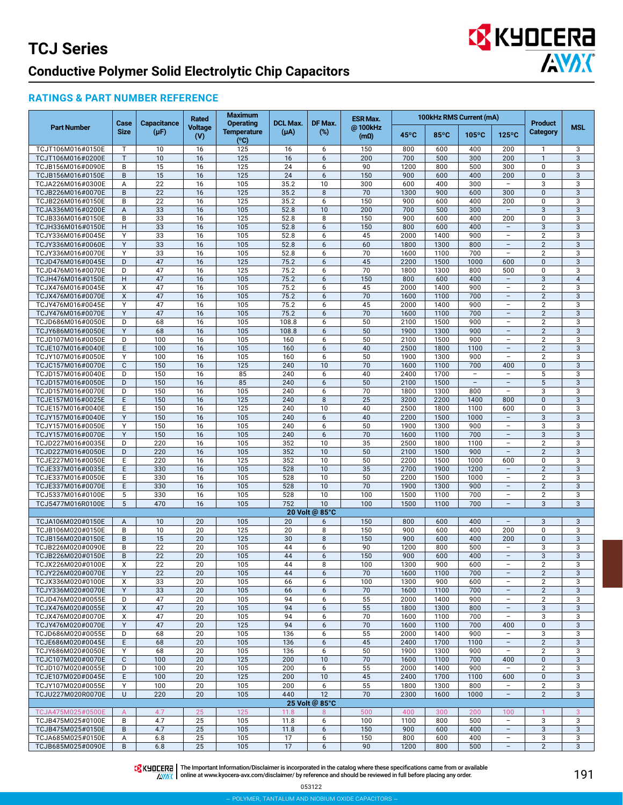## **EX KYOCERA AVAK**

### **RATINGS & PART NUMBER REFERENCE**

|                                        |                     |                          | Rated          | <b>Maximum</b>                                 |                              |                      | <b>ESR Max.</b>              |                |                | 100kHz RMS Current (mA)  |                                                      |                                   |                  |
|----------------------------------------|---------------------|--------------------------|----------------|------------------------------------------------|------------------------------|----------------------|------------------------------|----------------|----------------|--------------------------|------------------------------------------------------|-----------------------------------|------------------|
| <b>Part Number</b>                     | Case<br><b>Size</b> | Capacitance<br>$(\mu F)$ | Voltage<br>(V) | <b>Operating</b><br><b>Temperature</b><br>(°C) | <b>DCL Max.</b><br>$(\mu A)$ | DF Max.<br>$(\%)$    | @100kHz<br>(m <sub>0</sub> ) | $45^{\circ}$ C | $85^{\circ}$ C | $105^{\circ}$ C          | $125^{\circ}$ C                                      | <b>Product</b><br><b>Category</b> | <b>MSL</b>       |
| TCJT106M016#0150E                      | T                   | 10                       | 16             | 125                                            | 16                           | 6                    | 150                          | 800            | 600            | 400                      | 200                                                  | 1                                 | 3                |
| TCJT106M016#0200E                      | $\mathsf{T}$        | 10                       | 16             | 125                                            | 16                           | 6                    | 200                          | 700            | 500            | 300                      | 200                                                  | $\mathbf{1}$                      | 3                |
| TCJB156M016#0090E                      | B                   | 15                       | 16             | 125                                            | 24                           | 6                    | 90                           | 1200           | 800            | 500                      | 300                                                  | $\mathbf 0$                       | 3                |
| TCJB156M016#0150E                      | B                   | 15                       | 16             | 125                                            | $\overline{24}$              | 6<br>10              | 150                          | 900            | 600            | 400<br>300               | 200<br>$\overline{\phantom{a}}$                      | $\pmb{0}$                         | 3                |
| TCJA226M016#0300E<br>TCJB226M016#0070E | Α<br>B              | 22<br>22                 | 16<br>16       | 105<br>125                                     | 35.2<br>35.2                 | $\bf 8$              | 300<br>70                    | 600<br>1300    | 400<br>900     | 600                      | 300                                                  | 3<br>$\mathbf{0}$                 | 3<br>3           |
| TCJB226M016#0150E                      | B                   | 22                       | 16             | 125                                            | 35.2                         | 6                    | 150                          | 900            | 600            | 400                      | 200                                                  | $\mathbf 0$                       | 3                |
| TCJA336M016#0200E                      | A                   | 33                       | 16             | 105                                            | 52.8                         | 10                   | 200                          | 700            | 500            | 300                      | $\overline{\phantom{m}}$                             | 3                                 | 3                |
| TCJB336M016#0150E                      | B                   | 33                       | 16             | 125                                            | 52.8                         | 8                    | 150                          | 900            | 600            | 400                      | 200                                                  | $\mathbf{0}$                      | 3                |
| TCJH336M016#0150E                      | H                   | 33                       | 16             | 105                                            | 52.8                         | 6                    | 150                          | 800            | 600            | 400                      | $\overline{\phantom{a}}$                             | 3                                 | 3                |
| TCJY336M016#0045E                      | Y                   | 33                       | 16             | 105                                            | 52.8                         | 6                    | 45                           | 2000           | 1400           | 900                      | $\overline{\phantom{a}}$                             | $\overline{2}$                    | 3                |
| TCJY336M016#0060E                      | Y                   | 33                       | 16             | 105                                            | 52.8                         | 6                    | 60                           | 1800           | 1300           | 800                      | $\overline{a}$                                       | $\overline{2}$                    | 3                |
| TCJY336M016#0070E                      | Y<br>D              | 33<br>47                 | 16<br>16       | 105                                            | 52.8                         | 6<br>6               | 70<br>45                     | 1600           | 1100           | 700<br>1000              | $\overline{\phantom{0}}$<br>600                      | $\overline{2}$                    | 3                |
| TCJD476M016#0045E<br>TCJD476M016#0070E | D                   | 47                       | 16             | 125<br>125                                     | 75.2<br>75.2                 | 6                    | 70                           | 2200<br>1800   | 1500<br>1300   | 800                      | 500                                                  | $\mathbf{0}$<br>$\mathbf 0$       | 3<br>3           |
| TCJH476M016#0150E                      | H                   | 47                       | 16             | 105                                            | 75.2                         | 6                    | 150                          | 800            | 600            | 400                      | $\overline{\phantom{a}}$                             | 3                                 | $\overline{4}$   |
| TCJX476M016#0045E                      | X                   | 47                       | 16             | 105                                            | 75.2                         | 6                    | 45                           | 2000           | 1400           | 900                      | $\overline{\phantom{0}}$                             | $\overline{2}$                    | 3                |
| TCJX476M016#0070E                      | X                   | 47                       | 16             | 105                                            | 75.2                         | 6                    | 70                           | 1600           | 1100           | 700                      | $\overline{a}$                                       | $\overline{2}$                    | 3                |
| TCJY476M016#0045E                      | Y                   | 47                       | 16             | 105                                            | 75.2                         | 6                    | 45                           | 2000           | 1400           | 900                      | $\overline{\phantom{0}}$                             | $\overline{2}$                    | 3                |
| TCJY476M016#0070E                      | Y                   | 47                       | 16             | 105                                            | 75.2                         | 6                    | 70                           | 1600           | 1100           | 700                      | L,                                                   | $\overline{2}$                    | 3                |
| TCJD686M016#0050E                      | D                   | 68                       | 16             | 105                                            | 108.8                        | 6                    | 50                           | 2100           | 1500           | 900                      | L,                                                   | $\overline{2}$                    | 3                |
| TCJY686M016#0050E                      | Y                   | 68                       | 16             | 105                                            | 108.8                        | 6                    | 50                           | 1900           | 1300           | 900                      | $\overline{\phantom{a}}$                             | $\overline{2}$                    | 3                |
| TCJD107M016#0050E<br>TCJE107M016#0040E | D<br>E              | 100<br>100               | 16<br>16       | 105<br>105                                     | 160<br>160                   | 6<br>6               | 50<br>40                     | 2100<br>2500   | 1500<br>1800   | 900<br>1100              | $\qquad \qquad -$<br>$\overline{\phantom{a}}$        | $\overline{2}$<br>$\overline{2}$  | 3<br>3           |
| TCJY107M016#0050E                      | Y                   | 100                      | 16             | 105                                            | 160                          | 6                    | 50                           | 1900           | 1300           | 900                      | $\overline{a}$                                       | $\overline{2}$                    | 3                |
| TCJC157M016#0070E                      | $\mathsf{C}$        | 150                      | 16             | 125                                            | 240                          | 10                   | 70                           | 1600           | 1100           | 700                      | 400                                                  | $\mathbf{0}$                      | 3                |
| TCJD157M016#0040E                      | D                   | 150                      | 16             | 85                                             | 240                          | 6                    | 40                           | 2400           | 1700           | $\overline{\phantom{a}}$ | $\overline{\phantom{0}}$                             | 5                                 | 3                |
| TCJD157M016#0050E                      | D                   | 150                      | 16             | 85                                             | 240                          | 6                    | 50                           | 2100           | 1500           | $\overline{\phantom{a}}$ | $\overline{\phantom{a}}$                             | 5                                 | 3                |
| TCJD157M016#0070E                      | D                   | 150                      | 16             | 105                                            | 240                          | 6                    | 70                           | 1800           | 1300           | 800                      | $\overline{\phantom{a}}$                             | 3                                 | 3                |
| TCJE157M016#0025E                      | E                   | 150                      | 16             | 125                                            | 240                          | $\bf 8$              | 25                           | 3200           | 2200           | 1400                     | 800                                                  | $\mathbf{0}$                      | 3                |
| TCJE157M016#0040E                      | E                   | 150                      | 16             | 125                                            | 240                          | 10                   | 40                           | 2500           | 1800           | 1100                     | 600                                                  | $\mathbf 0$                       | 3                |
| TCJY157M016#0040E                      | Y<br>Y              | 150                      | 16<br>16       | 105                                            | 240                          | 6                    | 40                           | 2200           | 1500           | 1000<br>900              | $\overline{\phantom{0}}$<br>$\overline{\phantom{0}}$ | 3                                 | 3                |
| TCJY157M016#0050E<br>TCJY157M016#0070E | Y                   | 150<br>150               | 16             | 105<br>105                                     | 240<br>240                   | 6<br>6               | 50<br>70                     | 1900<br>1600   | 1300<br>1100   | 700                      | $\overline{a}$                                       | 3<br>3                            | 3<br>3           |
| TCJD227M016#0035E                      | D                   | 220                      | 16             | 105                                            | 352                          | 10                   | 35                           | 2500           | 1800           | 1100                     | $\qquad \qquad -$                                    | $\overline{2}$                    | 3                |
| TCJD227M016#0050E                      | D                   | 220                      | 16             | 105                                            | 352                          | 10                   | 50                           | 2100           | 1500           | 900                      | $\overline{\phantom{a}}$                             | $\overline{2}$                    | 3                |
| TCJE227M016#0050E                      | E                   | 220                      | 16             | 125                                            | 352                          | 10                   | 50                           | 2200           | 1500           | 1000                     | 600                                                  | $\mathbf 0$                       | 3                |
| TCJE337M016#0035E                      | E.                  | 330                      | 16             | 105                                            | 528                          | 10                   | 35                           | 2700           | 1900           | 1200                     |                                                      | $\overline{2}$                    | 3                |
| TCJE337M016#0050E                      | E                   | 330                      | 16             | 105                                            | 528                          | 10                   | 50                           | 2200           | 1500           | 1000                     | $\overline{a}$                                       | $\overline{2}$                    | 3                |
| TCJE337M016#0070E                      | E                   | 330                      | 16             | 105                                            | 528                          | 10                   | 70                           | 1900           | 1300           | 900                      | $\overline{\phantom{a}}$                             | $\overline{2}$                    | 3                |
| TCJ5337M016#0100E                      | 5                   | 330                      | 16             | 105                                            | 528                          | 10                   | 100                          | 1500           | 1100           | 700                      | $\qquad \qquad -$<br>$\overline{\phantom{a}}$        | $\overline{2}$                    | 3                |
| TCJ5477M016R0100E                      | 5                   | 470                      | 16             | 105                                            | 752                          | 10<br>20 Volt @ 85°C | 100                          | 1500           | 1100           | 700                      |                                                      | 3                                 | 3                |
| TCJA106M020#0150E                      | A                   | 10                       | 20             | 105                                            | 20                           | 6                    | 150                          | 800            | 600            | 400                      | $\overline{\phantom{0}}$                             | 3                                 | 3                |
| TCJB106M020#0150E                      | B                   | 10                       | 20             | 125                                            | 20                           | 8                    | 150                          | 900            | 600            | 400                      | 200                                                  | $\mathbf 0$                       | 3                |
| TCJB156M020#0150E                      | B                   | 15                       | 20             | 125                                            | 30                           | $\bf 8$              | 150                          | 900            | 600            | 400                      | 200                                                  | $\mathbf{0}$                      | 3                |
| TCJB226M020#0090E                      | B                   | 22                       | 20             | 105                                            | 44                           | 6                    | 90                           | 1200           | 800            | 500                      | $\overline{\phantom{a}}$                             | 3                                 | 3                |
| TCJB226M020#0150E                      | B                   | 22                       | 20             | 105                                            | 44                           | 6                    | 150                          | 900            | 600            | 400                      | $\overline{\phantom{a}}$                             | 3                                 | 3                |
| TCJX226M020#0100E                      | X                   | 22                       | 20             | 105                                            | 44                           | 8                    | 100                          | 1300           | 900            | 600                      | -                                                    | $\overline{2}$                    | 3                |
| TCJY226M020#0070E                      | Y                   | 22                       | 20             | 105                                            | 44                           | 6                    | 70                           | 1600           | 1100           | 700                      | $\overline{\phantom{0}}$<br>$\overline{\phantom{0}}$ | $\overline{2}$                    | 3                |
| TCJX336M020#0100E<br>TCJY336M020#0070E | X<br>Y              | 33<br>33                 | 20<br>20       | 105<br>105                                     | 66<br>66                     | 6<br>6               | 100<br>70                    | 1300<br>1600   | 900<br>1100    | 600<br>700               | $\overline{\phantom{a}}$                             | $\overline{2}$<br>$\overline{2}$  | 3<br>3           |
| TCJD476M020#0055E                      | D                   | 47                       | 20             | 105                                            | 94                           | 6                    | 55                           | 2000           | 1400           | 900                      | $\qquad \qquad -$                                    | $\overline{2}$                    | 3                |
| TCJX476M020#0055E                      | X                   | 47                       | 20             | 105                                            | 94                           | 6                    | 55                           | 1800           | 1300           | 800                      | $\overline{\phantom{a}}$                             | $\mathbf{3}$                      | 3                |
| TCJX476M020#0070E                      | Х                   | 47                       | 20             | 105                                            | 94                           | 6                    | 70                           | 1600           | 1100           | 700                      | $\overline{\phantom{a}}$                             | 3                                 | 3                |
| TCJY476M020#0070E                      | Y                   | 47                       | 20             | 125                                            | 94                           | 6                    | 70                           | 1600           | 1100           | 700                      | 400                                                  | $\mathbf 0$                       | 3                |
| TCJD686M020#0055E                      | D                   | 68                       | 20             | 105                                            | 136                          | 6                    | 55                           | 2000           | 1400           | 900                      |                                                      | 3                                 | 3                |
| TCJE686M020#0045E                      | E                   | 68                       | 20             | 105                                            | 136                          | 6                    | 45                           | 2400           | 1700           | 1100                     | $\overline{\phantom{a}}$                             | $\overline{2}$                    | 3                |
| TCJY686M020#0050E                      | Y                   | 68                       | 20             | 105                                            | 136                          | 6                    | 50                           | 1900           | 1300           | 900                      | $\overline{\phantom{a}}$                             | $\overline{2}$                    | 3                |
| TCJC107M020#0070E<br>TCJD107M020#0055E | $\mathsf{C}$<br>D   | 100<br>100               | 20<br>20       | 125<br>105                                     | 200<br>200                   | 10<br>6              | 70<br>55                     | 1600<br>2000   | 1100<br>1400   | 700<br>900               | 400<br>$\overline{\phantom{a}}$                      | $\mathbf 0$<br>$\overline{2}$     | $\mathsf 3$<br>3 |
| TCJE107M020#0045E                      | E                   | 100                      | 20             | 125                                            | 200                          | 10                   | 45                           | 2400           | 1700           | 1100                     | 600                                                  | 0                                 | 3                |
| TCJY107M020#0055E                      | Y                   | 100                      | 20             | 105                                            | 200                          | 6                    | 55                           | 1800           | 1300           | 800                      | ÷,                                                   | $\overline{2}$                    | 3                |
| TCJU227M020R0070E                      | U                   | 220                      | 20             | 105                                            | 440                          | 12                   | 70                           | 2300           | 1600           | 1000                     | $\overline{a}$                                       | $\overline{2}$                    | 3                |
|                                        |                     |                          |                |                                                |                              | 25 Volt @ 85°C       |                              |                |                |                          |                                                      |                                   |                  |
| TCJA475M025#0500E                      | $\overline{A}$      | 4.7                      | 25             | 125                                            | 11.8                         | 8                    | 500                          | 400            | 300            | 200                      | 100                                                  | $\mathbf{1}$                      | 3                |
| TCJB475M025#0100E                      | B                   | 4.7                      | 25             | 105                                            | 11.8                         | 6                    | 100                          | 1100           | 800            | 500                      | $\overline{\phantom{a}}$                             | 3                                 | 3                |
| TCJB475M025#0150E                      | B                   | 4.7                      | 25             | 105                                            | 11.8                         | 6                    | 150                          | 900            | 600            | 400                      | $\overline{\phantom{a}}$                             | 3                                 | 3                |
| TCJA685M025#0150E<br>TCJB685M025#0090E | Α<br>B              | 6.8<br>6.8               | 25<br>25       | 105<br>105                                     | 17<br>17                     | 6<br>6               | 150<br>90                    | 800<br>1200    | 600<br>800     | 400<br>500               | $\overline{a}$<br>$\bar{ }$                          | 3<br>$\overline{2}$               | 3<br>3           |
|                                        |                     |                          |                |                                                |                              |                      |                              |                |                |                          |                                                      |                                   |                  |



The Important Information/Disclaimer is incorporated in the catalog where these specifications came from or available<br>online at [www.kyocera-avx.com/disclaimer/](http://www.avx.com/disclaimer/) by reference and should be reviewed in full before placing any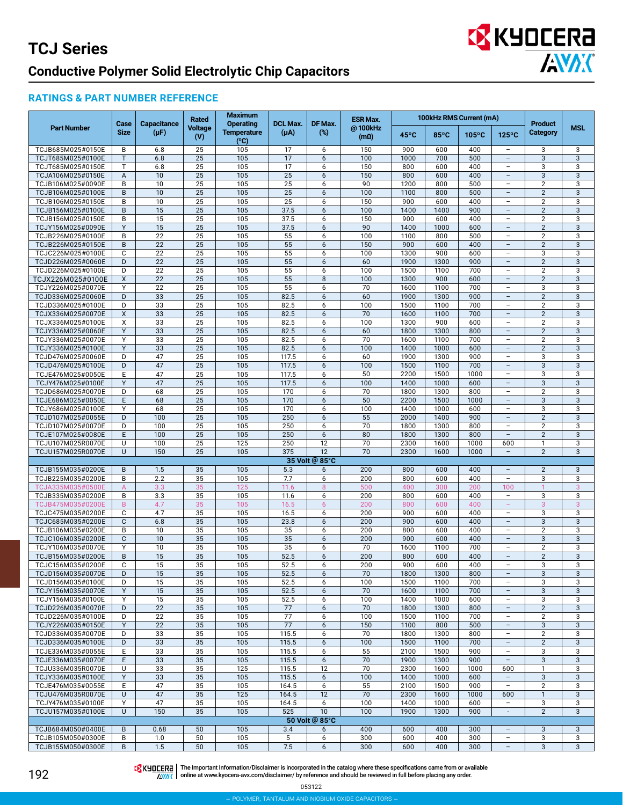## **EX** KYOCERA **ANDIC**

### **RATINGS & PART NUMBER REFERENCE**

|                                        |                     |                                 | Rated                 | <b>Maximum</b>                                |                              |                       | <b>ESR Max.</b>        |                |                | 100kHz RMS Current (mA) |                                                      |                            |                   |
|----------------------------------------|---------------------|---------------------------------|-----------------------|-----------------------------------------------|------------------------------|-----------------------|------------------------|----------------|----------------|-------------------------|------------------------------------------------------|----------------------------|-------------------|
| <b>Part Number</b>                     | Case<br><b>Size</b> | <b>Capacitance</b><br>$(\mu F)$ | Voltage<br>(V)        | <b>Operating</b><br><b>Temperature</b><br>(C) | <b>DCL Max.</b><br>$(\mu A)$ | DF Max.<br>$(\%)$     | @100kHz<br>$(m\Omega)$ | $45^{\circ}$ C | $85^{\circ}$ C | $105^{\circ}$ C         | $125^{\circ}$ C                                      | <b>Product</b><br>Category | <b>MSL</b>        |
| TCJB685M025#0150E                      | B                   | 6.8                             | 25                    | 105                                           | 17                           | 6                     | 150                    | 900            | 600            | 400                     | $\overline{\phantom{0}}$                             | 3                          | 3                 |
| TCJT685M025#0100E                      | T                   | 6.8                             | $\overline{25}$       | 105                                           | 17                           | 6                     | 100                    | 1000           | 700            | 500                     |                                                      | 3                          | 3                 |
| TCJT685M025#0150E                      | $\mathsf{T}$        | 6.8                             | 25                    | 105                                           | 17                           | 6                     | 150                    | 800            | 600            | 400                     | $\overline{\phantom{0}}$                             | 3                          | 3                 |
| TCJA106M025#0150E<br>TCJB106M025#0090E | A<br>B              | 10<br>10                        | 25<br>$\overline{25}$ | 105<br>105                                    | 25<br>25                     | 6<br>6                | 150<br>90              | 800<br>1200    | 600<br>800     | 400<br>500              | $\overline{\phantom{a}}$<br>$\overline{\phantom{0}}$ | 3<br>$\overline{2}$        | 3<br>3            |
| TCJB106M025#0100E                      | B                   | 10                              | 25                    | 105                                           | 25                           | 6                     | 100                    | 1100           | 800            | 500                     | $\qquad \qquad -$                                    | $\overline{2}$             | 3                 |
| TCJB106M025#0150E                      | B                   | 10                              | 25                    | 105                                           | 25                           | 6                     | 150                    | 900            | 600            | 400                     | $\overline{\phantom{0}}$                             | $\overline{2}$             | 3                 |
| TCJB156M025#0100E                      | B                   | 15                              | 25                    | 105                                           | 37.5                         | 6                     | 100                    | 1400           | 1400           | 900                     | $\overline{\phantom{0}}$                             | $\overline{2}$             | 3                 |
| TCJB156M025#0150E                      | B                   | 15                              | 25                    | 105                                           | 37.5                         | 6                     | 150                    | 900            | 600            | 400                     | $\overline{a}$                                       | 2                          | 3                 |
| TCJY156M025#0090E                      | Y                   | 15                              | 25                    | 105                                           | 37.5                         | 6                     | 90                     | 1400           | 1000           | 600                     | $\overline{\phantom{0}}$                             | $\overline{2}$             | 3                 |
| TCJB226M025#0100E                      | B                   | 22                              | $\overline{25}$       | 105                                           | 55                           | 6                     | 100                    | 1100           | 800            | 500                     | $\overline{\phantom{0}}$                             | $\overline{2}$             | 3                 |
| TCJB226M025#0150E<br>TCJC226M025#0100E | B<br>C              | 22<br>22                        | 25<br>25              | 105<br>105                                    | 55<br>55                     | 6                     | 150<br>100             | 900<br>1300    | 600<br>900     | 400<br>600              | -<br>$\overline{\phantom{0}}$                        | $\overline{2}$             | 3                 |
| TCJD226M025#0060E                      | D.                  | 22                              | $\overline{25}$       | 105                                           | 55                           | 6<br>6                | 60                     | 1900           | 1300           | 900                     | $\overline{\phantom{0}}$                             | 3<br>$\overline{2}$        | 3<br>3            |
| TCJD226M025#0100E                      | D                   | 22                              | 25                    | 105                                           | 55                           | 6                     | 100                    | 1500           | 1100           | 700                     | $\overline{\phantom{0}}$                             | $\overline{2}$             | 3                 |
| TCJX226M025#0100E                      | $\mathsf{X}$        | 22                              | 25                    | 105                                           | 55                           | 8                     | 100                    | 1300           | 900            | 600                     | $\equiv$                                             | $\overline{2}$             | 3                 |
| TCJY226M025#0070E                      | Y                   | 22                              | $\overline{25}$       | 105                                           | 55                           | 6                     | 70                     | 1600           | 1100           | 700                     | $\overline{\phantom{0}}$                             | 3                          | 3                 |
| TCJD336M025#0060E                      | D                   | 33                              | 25                    | 105                                           | 82.5                         | 6                     | 60                     | 1900           | 1300           | 900                     | -                                                    | $\overline{2}$             | 3                 |
| TCJD336M025#0100E                      | D                   | 33                              | 25                    | 105                                           | 82.5                         | 6                     | 100                    | 1500           | 1100           | 700                     | $\overline{\phantom{0}}$                             | $\overline{2}$             | 3                 |
| TCJX336M025#0070E                      | X                   | 33                              | $\overline{25}$       | 105                                           | 82.5                         | 6                     | 70                     | 1600           | 1100<br>900    | 700                     | $\overline{a}$<br>$\overline{a}$                     | $\overline{2}$             | 3                 |
| TCJX336M025#0100E<br>TCJY336M025#0060E | X<br>Y              | 33<br>33                        | 25<br>25              | 105<br>105                                    | 82.5<br>82.5                 | 6<br>6                | 100<br>60              | 1300<br>1800   | 1300           | 600<br>800              | $\overline{a}$                                       | 2<br>$\overline{2}$        | 3<br>3            |
| TCJY336M025#0070E                      | Y                   | 33                              | $\overline{25}$       | 105                                           | 82.5                         | 6                     | 70                     | 1600           | 1100           | 700                     | $\overline{\phantom{0}}$                             | $\overline{2}$             | 3                 |
| TCJY336M025#0100E                      | Y                   | 33                              | 25                    | 105                                           | 82.5                         | 6                     | 100                    | 1400           | 1000           | 600                     | $\overline{\phantom{0}}$                             | $\overline{2}$             | 3                 |
| TCJD476M025#0060E                      | D                   | 47                              | 25                    | 105                                           | 117.5                        | 6                     | 60                     | 1900           | 1300           | 900                     | $\overline{\phantom{a}}$                             | 3                          | 3                 |
| TCJD476M025#0100E                      | D                   | 47                              | $\overline{25}$       | 105                                           | 117.5                        | 6                     | 100                    | 1500           | 1100           | 700                     | $\overline{a}$                                       | 3                          | 3                 |
| TCJE476M025#0050E                      | E                   | 47                              | 25                    | 105                                           | 117.5                        | 6                     | 50                     | 2200           | 1500           | 1000                    | $\overline{\phantom{0}}$                             | 3                          | 3                 |
| TCJY476M025#0100E                      | Y                   | 47                              | 25                    | 105                                           | 117.5                        | 6                     | 100                    | 1400           | 1000           | 600                     | $\overline{\phantom{a}}$                             | 3                          | 3                 |
| TCJD686M025#0070E<br>TCJE686M025#0050E | D<br>Ε              | 68<br>68                        | 25<br>25              | 105<br>105                                    | 170<br>170                   | 6<br>6                | 70<br>50               | 1800<br>2200   | 1300<br>1500   | 800<br>1000             | $\overline{\phantom{0}}$<br>-                        | $\overline{2}$<br>3        | 3<br>3            |
| TCJY686M025#0100E                      | Y                   | 68                              | 25                    | 105                                           | 170                          | 6                     | 100                    | 1400           | 1000           | 600                     | $\overline{\phantom{0}}$                             | 3                          | 3                 |
| TCJD107M025#0055E                      | D                   | 100                             | $\overline{25}$       | 105                                           | 250                          | 6                     | 55                     | 2000           | 1400           | 900                     | $\overline{a}$                                       | $\overline{2}$             | 3                 |
| TCJD107M025#0070E                      | D                   | 100                             | 25                    | 105                                           | 250                          | 6                     | 70                     | 1800           | 1300           | 800                     | $\overline{\phantom{0}}$                             | $\overline{2}$             | 3                 |
| TCJE107M025#0080E                      | E                   | 100                             | 25                    | 105                                           | 250                          | 6                     | 80                     | 1800           | 1300           | 800                     | $\overline{\phantom{a}}$                             | $\overline{2}$             | 3                 |
| TCJU107M025R0070E                      | U                   | 100                             | $\overline{25}$       | 125                                           | 250                          | 12                    | 70                     | 2300           | 1600           | 1000                    | 600                                                  | $\mathbf{1}$               | 3                 |
| TCJU157M025R0070E                      | U                   | 150                             | 25                    | 105                                           | 375                          | 12                    | 70                     | 2300           | 1600           | 1000                    |                                                      | 2                          | 3                 |
| TCJB155M035#0200E                      | B                   | 1.5                             | 35                    | 105                                           | 5.3                          | 35 Volt @ 85°C<br>6   | 200                    | 800            | 600            | 400                     | $\overline{\phantom{0}}$                             | $\overline{2}$             | 3                 |
| TCJB225M035#0200E                      | B                   | 2.2                             | 35                    | 105                                           | 7.7                          | 6                     | 200                    | 800            | 600            | 400                     | $\overline{a}$                                       | 3                          | 3                 |
| TCJA335M035#0500E                      | A                   | 3.3                             | 35                    | 125                                           | 11.6                         | 8                     | 500                    | 400            | 300            | 200                     | 100                                                  |                            | 3                 |
| TCJB335M035#0200E                      | B                   | 3.3                             | 35                    | 105                                           | 11.6                         | 6                     | 200                    | 800            | 600            | 400                     | $\overline{\phantom{a}}$                             | 3                          | 3                 |
| TCJB475M035#0200E                      | B                   | 4.7                             | 35                    | 105                                           | 16.5                         | 6                     | 200                    | 800            | 600            | 400                     | $\equiv$                                             | 3                          | 3                 |
| TCJC475M035#0200E                      | C                   | 4.7                             | 35                    | 105                                           | 16.5                         | 6                     | 200                    | 900            | 600            | 400                     | $\overline{\phantom{0}}$                             | 3                          | 3                 |
| TCJC685M035#0200E                      | $\mathsf{C}$        | 6.8                             | 35                    | 105                                           | 23.8                         | 6                     | 200                    | 900            | 600            | 400                     | $\overline{\phantom{a}}$                             | 3                          | 3                 |
| TCJB106M035#0200E<br>TCJC106M035#0200E | B<br>C.             | 10<br>10                        | $\overline{35}$<br>35 | 105<br>105                                    | 35<br>35                     | 6<br>6                | 200<br>200             | 800<br>900     | 600<br>600     | 400<br>400              | $\overline{\phantom{0}}$<br>$\overline{a}$           | $\overline{2}$<br>3        | 3<br>3            |
| TCJY106M035#0070E                      | Y                   | 10                              | 35                    | 105                                           | 35                           | 6                     | 70                     | 1600           | 1100           | 700                     | $\overline{\phantom{a}}$                             | $\overline{2}$             | 3                 |
| TCJB156M035#0200E                      | B                   | 15                              | $\overline{35}$       | 105                                           | 52.5                         | 6                     | 200                    | 800            | 600            | 400                     | $\overline{a}$                                       | $\overline{2}$             | 3                 |
| TCJC156M035#0200E                      | C                   | 15                              | 35                    | 105                                           | 52.5                         | 6                     | 200                    | 900            | 600            | 400                     | -                                                    | 3                          | 3                 |
| TCJD156M035#0070E                      | D                   | 15                              | 35                    | 105                                           | 52.5                         | 6                     | 70                     | 1800           | 1300           | 800                     | $\overline{\phantom{a}}$                             | 3                          | $\mathbf{3}$      |
| TCJD156M035#0100E                      | D                   | 15                              | 35                    | 105                                           | 52.5                         | 6                     | 100                    | 1500           | 1100           | 700                     | $\overline{\phantom{0}}$                             | 3                          | 3                 |
| TCJY156M035#0070E                      | Y                   | 15                              | 35                    | 105                                           | 52.5                         | 6                     | 70                     | 1600           | 1100           | 700                     | $\overline{a}$                                       | 3                          | 3                 |
| TCJY156M035#0100E<br>TCJD226M035#0070E | Y<br>D              | 15<br>22                        | 35<br>35              | 105<br>105                                    | 52.5<br>77                   | 6<br>6                | 100<br>70              | 1400<br>1800   | 1000<br>1300   | 600<br>800              | $\overline{\phantom{a}}$<br>$\overline{\phantom{a}}$ | 3<br>$\overline{2}$        | 3<br>3            |
| TCJD226M035#0100E                      | D                   | 22                              | 35                    | 105                                           | 77                           | 6                     | 100                    | 1500           | 1100           | 700                     | $\overline{a}$                                       | $\overline{2}$             | 3                 |
| TCJY226M035#0150E                      | Y                   | 22                              | 35                    | 105                                           | 77                           | 6                     | 150                    | 1100           | 800            | 500                     | $\overline{\phantom{a}}$                             | $\ensuremath{\mathsf{3}}$  | 3                 |
| TCJD336M035#0070E                      | D                   | 33                              | 35                    | 105                                           | 115.5                        | 6                     | 70                     | 1800           | 1300           | 800                     | $\overline{a}$                                       | $\overline{2}$             | 3                 |
| TCJD336M035#0100E                      | D                   | 33                              | 35                    | 105                                           | 115.5                        | 6                     | 100                    | 1500           | 1100           | 700                     | $\qquad \qquad -$                                    | $\overline{2}$             | 3                 |
| TCJE336M035#0055E                      | E                   | 33                              | 35                    | 105                                           | 115.5                        | 6                     | 55                     | 2100           | 1500           | 900                     | $\overline{\phantom{0}}$                             | 3                          | 3                 |
| TCJE336M035#0070E                      | E                   | 33                              | 35                    | 105                                           | 115.5                        | $\boldsymbol{6}$      | 70                     | 1900           | 1300           | 900                     | $\overline{\phantom{m}}$                             | $\ensuremath{\mathsf{3}}$  | $\sqrt{3}$        |
| TCJU336M035R0070E<br>TCJY336M035#0100E | U<br>Y              | 33<br>33                        | 35<br>35              | 125<br>105                                    | 115.5<br>115.5               | 12<br>6               | 70<br>100              | 2300<br>1400   | 1600<br>1000   | 1000<br>600             | 600<br>$\qquad \qquad -$                             | $\mathbf{1}$<br>3          | 3<br>$\mathbf{3}$ |
| TCJE476M035#0055E                      | E                   | 47                              | 35                    | 105                                           | 164.5                        | 6                     | 55                     | 2100           | 1500           | 900                     | L,                                                   | $\overline{2}$             | 3                 |
| TCJU476M035R0070E                      | U                   | 47                              | 35                    | 125                                           | 164.5                        | 12                    | 70                     | 2300           | 1600           | 1000                    | 600                                                  | $\mathbf{1}$               | 3                 |
| TCJY476M035#0100E                      | Y                   | 47                              | 35                    | 105                                           | 164.5                        | 6                     | 100                    | 1400           | 1000           | 600                     | $\overline{\phantom{a}}$                             | 3                          | 3                 |
| TCJU157M035#0100E                      | U                   | 150                             | 35                    | 105                                           | 525                          | 10                    | 100                    | 1900           | 1300           | 900                     | $\overline{\phantom{a}}$                             | $\overline{2}$             | 3                 |
|                                        |                     |                                 |                       |                                               |                              | 50 Volt @ 85°C        |                        |                |                |                         |                                                      |                            |                   |
| TCJB684M050#0400E                      | B                   | 0.68                            | 50                    | 105                                           | 3.4                          | 6                     | 400                    | 600            | 400            | 300                     | $\overline{\phantom{a}}$                             | 3                          | 3                 |
| TCJB105M050#0300E<br>TCJB155M050#0300E | B<br>B              | 1.0<br>1.5                      | 50<br>50              | 105<br>105                                    | 5<br>7.5                     | 6<br>$\boldsymbol{6}$ | 300<br>300             | 600<br>600     | 400<br>400     | 300<br>300              | -<br>$\overline{\phantom{0}}$                        | 3<br>$\mathbf{3}$          | 3<br>$\sqrt{3}$   |
|                                        |                     |                                 |                       |                                               |                              |                       |                        |                |                |                         |                                                      |                            |                   |

192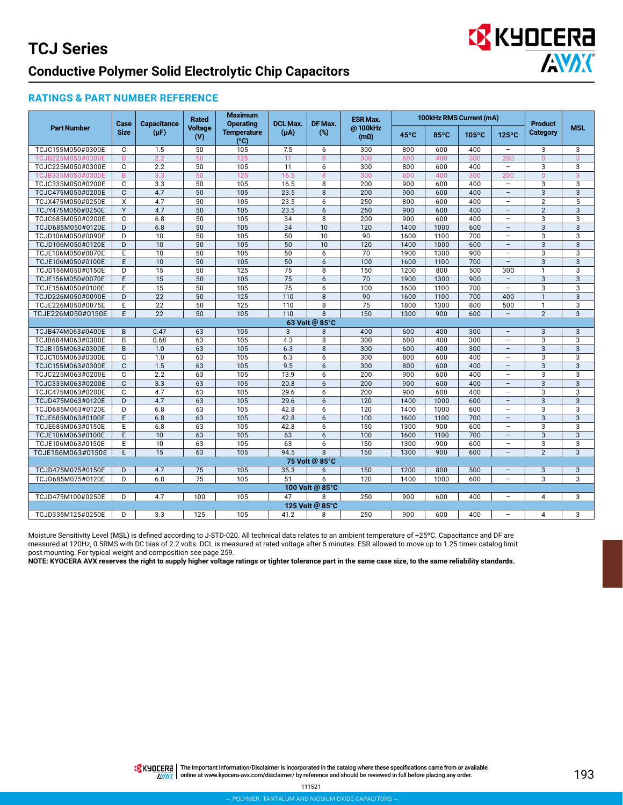## **B** KYOCERA **ANDIC**

### **RATINGS & PART NUMBER REFERENCE**

|                                        | Case           | <b>Capacitance</b> | Rated                 | <b>Maximum</b><br><b>Operating</b> | <b>DCL Max.</b>     | DF Max.         | <b>ESR Max.</b>        |            |            | 100kHz RMS Current (mA) |                          | <b>Product</b> |                   |
|----------------------------------------|----------------|--------------------|-----------------------|------------------------------------|---------------------|-----------------|------------------------|------------|------------|-------------------------|--------------------------|----------------|-------------------|
| <b>Part Number</b>                     | <b>Size</b>    | $(\mu F)$          | <b>Voltage</b><br>(V) | <b>Temperature</b><br>(°C)         | $(\mu A)$           | (%)             | @100kHz<br>$(m\Omega)$ | 45°C       | 85°C       | $105^{\circ}$ C         | $125^{\circ}$ C          | Category       | <b>MSL</b>        |
| TCJC155M050#0300E                      | C              | 1.5                | 50                    | 105                                | 7.5                 | 6               | 300                    | 800        | 600        | 400                     | $\bar{a}$                | 3              | 3                 |
| TCJB225M050#0300E                      | $\overline{B}$ | 2.2                | 50                    | 125                                | 11                  | 8               | 300                    | 600        | 400        | 300                     | 200                      | $\Omega$       | 3                 |
| TCJC225M050#0300E                      | C              | 2.2                | $\overline{50}$       | 105                                | 11                  | 6               | 300                    | 800        | 600        | 400                     | $\overline{\phantom{a}}$ | 3              | 3                 |
| TCJB335M050#0300E                      | $\mathsf{B}$   | 3.3                | 50                    | 125                                | 16.5                | 8               | 300                    | 600        | 400        | 300                     | 200                      | $\overline{0}$ | 3                 |
| TCJC335M050#0200E                      | C              | 3.3                | 50                    | 105                                | 16.5                | 8               | 200                    | 900        | 600        | 400                     | $\bar{a}$                | 3              | 3                 |
| TCJC475M050#0200E                      | $\mathsf{C}$   | 4.7                | $\overline{50}$       | $\overline{105}$                   | 23.5                | 8               | 200                    | 900        | 600        | 400                     | $\overline{\phantom{a}}$ | 3              | 3                 |
| TCJX475M050#0250E                      | X              | 4.7                | 50                    | 105                                | 23.5                | 6               | 250                    | 800        | 600        | 400                     | $\overline{\phantom{a}}$ | $\overline{2}$ | 5                 |
| TCJY475M050#0250E                      | Y              | 4.7                | 50                    | 105                                | 23.5                | 6               | 250                    | 900        | 600        | 400                     | $\overline{\phantom{a}}$ | $\overline{2}$ | 3                 |
| TCJC685M050#0200E                      | C              | 6.8                | 50                    | 105                                | 34                  | 8               | 200                    | 900        | 600        | 400                     | -                        | $\overline{3}$ | 3                 |
| TCJD685M050#0120E                      | D              | 6.8                | 50                    | 105                                | $\overline{34}$     | 10              | 120                    | 1400       | 1000       | 600                     | $\overline{\phantom{a}}$ | $\overline{3}$ | $\overline{3}$    |
| TCJD106M050#0090E                      | D              | 10                 | 50                    | 105                                | 50                  | 10              | 90                     | 1600       | 1100       | 700                     | $\qquad \qquad -$        | 3              | 3                 |
| TCJD106M050#0120E                      | D              | 10                 | $\overline{50}$       | 105                                | 50                  | 10              | 120                    | 1400       | 1000       | 600                     | $\overline{\phantom{a}}$ | $\mathbf{3}$   | 3                 |
| TCJE106M050#0070E                      | E              | 10                 | 50                    | 105                                | 50                  | 6               | 70                     | 1900       | 1300       | 900                     | $\qquad \qquad -$        | 3              | 3                 |
| TCJE106M050#0100E                      | E.             | 10                 | 50                    | 105                                | 50                  | 6               | 100                    | 1600       | 1100       | 700                     | $\overline{\phantom{0}}$ | $\overline{3}$ | $\overline{3}$    |
| TCJD156M050#0150E                      | D              | 15                 | 50                    | 125                                | $\overline{75}$     | 8               | 150                    | 1200       | 800        | 500                     | 300                      | $\mathbf{1}$   | 3                 |
| TCJE156M050#0070E                      | E              | 15                 | 50                    | 105                                | $\overline{75}$     | 6               | 70                     | 1900       | 1300       | 900                     | $\overline{\phantom{a}}$ | 3              | 3                 |
| TCJE156M050#0100E                      | E              | 15                 | 50                    | 105                                | 75                  | 6               | 100                    | 1600       | 1100       | 700                     | $\equiv$                 | 3              | 3                 |
| TCJD226M050#0090E                      | D              | 22                 | $\overline{50}$       | 125                                | 110                 | 8               | 90                     | 1600       | 1100       | 700                     | 400                      | $\mathbf{1}$   | 3                 |
| TCJE226M050#0075E                      | E              | 22                 | 50                    | 125                                | 110                 | 8               | 75                     | 1800       | 1300       | 800                     | 500                      | $\mathbf{1}$   | 3                 |
| TCJE226M050#0150E                      | E.             | 22                 | 50                    | 105                                | 110                 | 8               | 150                    | 1300       | 900        | 600                     | $\equiv$                 | $\overline{2}$ | 3                 |
|                                        | B              | 0.47               |                       |                                    |                     | 63 Volt @ 85°C  |                        |            |            | 300                     | $\overline{\phantom{a}}$ |                |                   |
| TCJB474M063#0400E                      | B              | 0.68               | 63<br>63              | 105<br>105                         | $\mathbf{3}$<br>4.3 | 8<br>8          | 400<br>300             | 600<br>600 | 400<br>400 | 300                     | $\overline{\phantom{0}}$ | 3              | $\mathbf{3}$<br>3 |
| TCJB684M063#0300E                      | B.             | 1.0                | 63                    | 105                                | 6.3                 | 8               | 300                    | 600        | 400        | 300                     | $\overline{\phantom{a}}$ | 3<br>3         | 3                 |
| TCJB105M063#0300E<br>TCJC105M063#0300E | C              | 1.0                | 63                    | 105                                | 6.3                 | 6               | 300                    | 800        | 600        | 400                     | $\qquad \qquad -$        | 3              | 3                 |
| TCJC155M063#0300E                      | $\mathbf{C}$   | 1.5                | 63                    | 105                                | 9.5                 | 6               | 300                    | 800        | 600        | 400                     | $\equiv$                 | $\overline{3}$ | 3                 |
| TCJC225M063#0200E                      | C              | 2.2                | 63                    | 105                                | 13.9                | 6               | 200                    | 900        | 600        | 400                     | $\qquad \qquad -$        | 3              | 3                 |
| TCJC335M063#0200E                      | $\mathsf{C}$   | 3.3                | 63                    | 105                                | 20.8                | 6               | 200                    | 900        | 600        | 400                     | $\overline{\phantom{0}}$ | 3              | $\mathbf{3}$      |
| TCJC475M063#0200E                      | C              | 4.7                | 63                    | 105                                | 29.6                | 6               | 200                    | 900        | 600        | 400                     | $\overline{\phantom{a}}$ | 3              | 3                 |
| TCJD475M063#0120E                      | D              | 4.7                | 63                    | 105                                | 29.6                | 6               | 120                    | 1400       | 1000       | 600                     | $\qquad \qquad -$        | $\mathbf{3}$   | $\mathbf{3}$      |
| TCJD685M063#0120E                      | D              | 6.8                | 63                    | 105                                | 42.8                | 6               | 120                    | 1400       | 1000       | 600                     | $\overline{\phantom{a}}$ | $\overline{3}$ | 3                 |
| TCJE685M063#0100E                      | E              | 6.8                | 63                    | 105                                | 42.8                | 6               | 100                    | 1600       | 1100       | 700                     | $\overline{\phantom{a}}$ | $\overline{3}$ | $\overline{3}$    |
| TCJE685M063#0150E                      | E              | 6.8                | 63                    | 105                                | 42.8                | 6               | 150                    | 1300       | 900        | 600                     | L,                       | 3              | 3                 |
| TCJE106M063#0100E                      | E              | 10                 | 63                    | 105                                | 63                  | 6               | 100                    | 1600       | 1100       | 700                     | $\overline{\phantom{a}}$ | $\overline{3}$ | 3                 |
| TCJE106M063#0150E                      | E              | 10                 | 63                    | 105                                | 63                  | 6               | 150                    | 1300       | 900        | 600                     | $\overline{\phantom{m}}$ | 3              | 3                 |
| TCJE156M063#0150E                      | E              | 15                 | 63                    | 105                                | 94.5                | 8               | 150                    | 1300       | 900        | 600                     | $\overline{\phantom{a}}$ | 2              | 3                 |
|                                        |                |                    |                       |                                    |                     | 75 Volt @ 85°C  |                        |            |            |                         |                          |                |                   |
| TCJD475M075#0150E                      | D              | 4.7                | 75                    | 105                                | 35.3                | 6               | 150                    | 1200       | 800        | 500                     | $\overline{a}$           | 3              | 3                 |
| TCJD685M075#0120E                      | D              | 6.8                | 75                    | 105                                | 51                  | 6               | 120                    | 1400       | 1000       | 600                     | $\qquad \qquad -$        | $\overline{3}$ | $\overline{3}$    |
|                                        |                |                    |                       |                                    |                     | 100 Volt @ 85°C |                        |            |            |                         |                          |                |                   |
| TCJD475M100#0250E                      | D              | 4.7                | 100                   | 105                                | 47                  | 8               | 250                    | 900        | 600        | 400                     | $\overline{\phantom{m}}$ | 4              | 3                 |
|                                        |                |                    |                       |                                    |                     | 125 Volt @ 85°C |                        |            |            |                         |                          |                |                   |
| TCJD335M125#0250E                      | D              | 3.3                | 125                   | 105                                | 41.2                | 8               | 250                    | 900        | 600        | 400                     | -                        | 4              | 3                 |

Moisture Sensitivity Level (MSL) is defined according to J-STD-020. All technical data relates to an ambient temperature of +25ºC. Capacitance and DF are measured at 120Hz, 0.5RMS with DC bias of 2.2 volts. DCL is measured at rated voltage after 5 minutes. ESR allowed to move up to 1.25 times catalog limit post mounting. For typical weight and composition see page 259.

**NOTE: KYOCERA AVX reserves the right to supply higher voltage ratings or tighter tolerance part in the same case size, to the same reliability standards.**

THE Important Information/Disclaimer is incorporated in the catalog where these specifications came from or available AVAX online at [www.kyocera-avx.com/disclaimer/](http://www.avx.com/disclaimer/) by reference and should be reviewed in full before placing any order.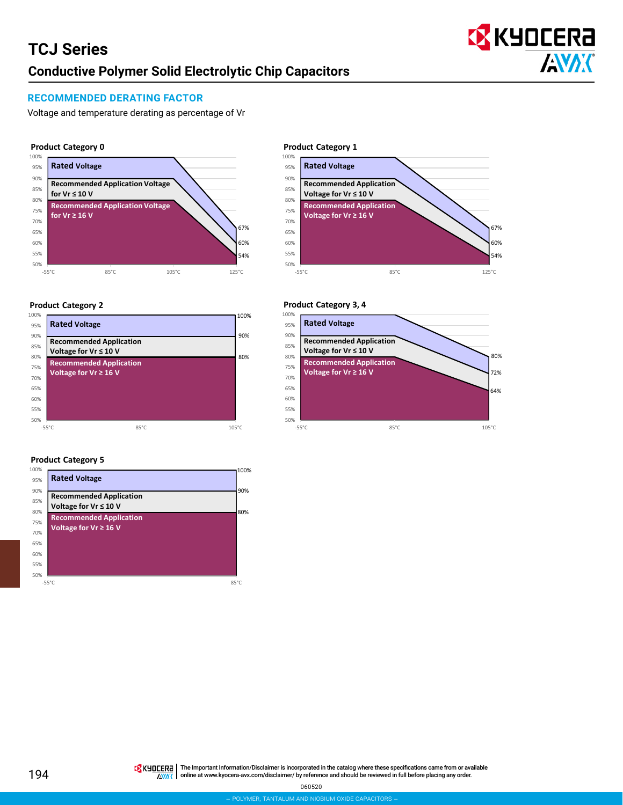

### **RECOMMENDED DERATING FACTOR**

Voltage and temperature derating as percentage of Vr

#### **Product Category 0**



#### **Product Category 2**



### **Product Category 5**



#### 70% 75% 80% 85% 90% 95% 100% **Product Category 1 Rated Voltage Recommended Application Voltage for Vr ≤ 10 V Recommended Application Voltage for Vr ≥ 16 V**



#### **Product Category 3, 4**

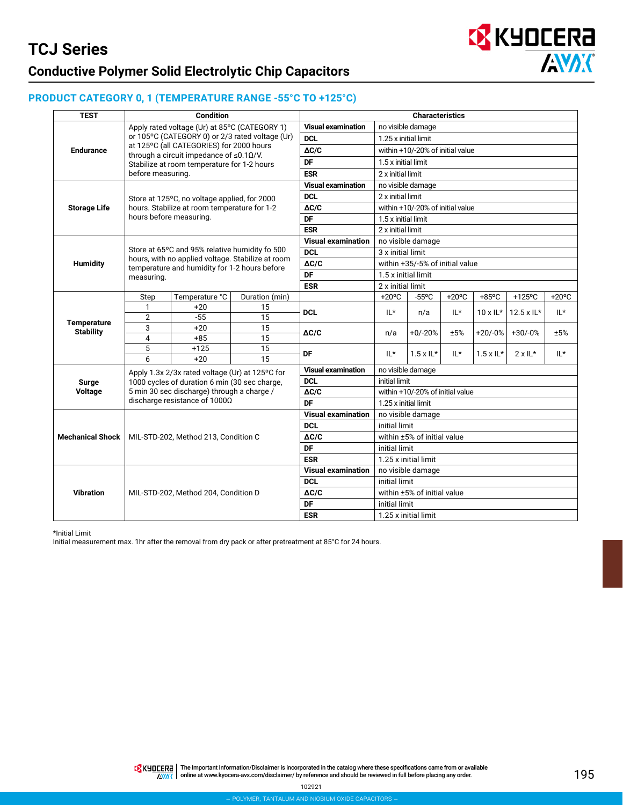

### **PRODUCT CATEGORY 0, 1 (TEMPERATURE RANGE -55°C TO +125°C)**

| <b>TEST</b>             |                   | <b>Condition</b>                                                                           |                                                   |                           |                      | <b>Characteristics</b>           |          |                   |                   |                 |
|-------------------------|-------------------|--------------------------------------------------------------------------------------------|---------------------------------------------------|---------------------------|----------------------|----------------------------------|----------|-------------------|-------------------|-----------------|
|                         |                   | Apply rated voltage (Ur) at 85°C (CATEGORY 1)                                              |                                                   | <b>Visual examination</b> |                      | no visible damage                |          |                   |                   |                 |
|                         |                   |                                                                                            | or 105°C (CATEGORY 0) or 2/3 rated voltage (Ur)   | <b>DCL</b>                | 1.25 x initial limit |                                  |          |                   |                   |                 |
| <b>Endurance</b>        |                   | at 125°C (all CATEGORIES) for 2000 hours<br>through a circuit impedance of $\leq 0.10$ /V. |                                                   | $\Delta C/C$              |                      | within +10/-20% of initial value |          |                   |                   |                 |
|                         |                   | Stabilize at room temperature for 1-2 hours                                                |                                                   | DF                        | 1.5 x initial limit  |                                  |          |                   |                   |                 |
|                         | before measuring. |                                                                                            |                                                   | <b>ESR</b>                | 2 x initial limit    |                                  |          |                   |                   |                 |
|                         |                   |                                                                                            |                                                   | <b>Visual examination</b> |                      | no visible damage                |          |                   |                   |                 |
|                         |                   | Store at 125°C, no voltage applied, for 2000                                               |                                                   | <b>DCL</b>                | 2 x initial limit    |                                  |          |                   |                   |                 |
| <b>Storage Life</b>     |                   | hours. Stabilize at room temperature for 1-2                                               |                                                   | $\Delta C/C$              |                      | within +10/-20% of initial value |          |                   |                   |                 |
|                         |                   | hours before measuring.                                                                    |                                                   | DF                        | 1.5 x initial limit  |                                  |          |                   |                   |                 |
|                         |                   |                                                                                            |                                                   | <b>ESR</b>                | 2 x initial limit    |                                  |          |                   |                   |                 |
|                         |                   |                                                                                            |                                                   | <b>Visual examination</b> |                      | no visible damage                |          |                   |                   |                 |
|                         |                   | Store at 65°C and 95% relative humidity fo 500                                             | hours, with no applied voltage. Stabilize at room | <b>DCL</b>                | 3 x initial limit    |                                  |          |                   |                   |                 |
| <b>Humidity</b>         |                   | temperature and humidity for 1-2 hours before                                              |                                                   | $\Delta C/C$              |                      | within +35/-5% of initial value  |          |                   |                   |                 |
|                         | measuring.        |                                                                                            |                                                   | DF                        | 1.5 x initial limit  |                                  |          |                   |                   |                 |
|                         |                   |                                                                                            |                                                   | <b>ESR</b>                | 2 x initial limit    |                                  |          |                   |                   |                 |
|                         | Step              | Temperature °C                                                                             | Duration (min)                                    |                           | $+20^{\circ}$ C      | $-55^{\circ}$ C                  | $+20$ °C | $+85$ °C          | $+125$ °C         | $+20^{\circ}$ C |
|                         | 1                 | $+20$                                                                                      | 15                                                | <b>DCL</b>                | IL*                  | n/a                              | IL*      | $10 \times 1$ L*  | $12.5 \times 11*$ | IL*             |
| Temperature             | $\overline{2}$    | $-55$                                                                                      | 15                                                |                           |                      |                                  |          |                   |                   |                 |
| <b>Stability</b>        | 3<br>4            | $+20$<br>$+85$                                                                             | 15<br>15                                          | $\Delta C/C$              | n/a                  | $+0/-20%$                        | ±5%      | $+20/-0%$         | $+30/-0%$         | ±5%             |
|                         | 5                 | $+125$                                                                                     | 15                                                |                           |                      |                                  |          |                   |                   |                 |
|                         | 6                 | $+20$                                                                                      | 15                                                | DF                        | $IL*$                | $1.5 \times 1$ L*                | IL*      | $1.5 \times 1$ L* | $2 \times 11^*$   | IL*             |
|                         |                   | Apply 1.3x 2/3x rated voltage (Ur) at 125°C for                                            |                                                   | <b>Visual examination</b> |                      | no visible damage                |          |                   |                   |                 |
| Surge                   |                   | 1000 cycles of duration 6 min (30 sec charge,                                              |                                                   | <b>DCL</b>                | initial limit        |                                  |          |                   |                   |                 |
| Voltage                 |                   | 5 min 30 sec discharge) through a charge /                                                 |                                                   | $\Delta C/C$              |                      | within +10/-20% of initial value |          |                   |                   |                 |
|                         |                   | discharge resistance of 1000Ω                                                              |                                                   | DF                        | 1.25 x initial limit |                                  |          |                   |                   |                 |
|                         |                   |                                                                                            |                                                   | <b>Visual examination</b> |                      | no visible damage                |          |                   |                   |                 |
|                         |                   |                                                                                            |                                                   | <b>DCL</b>                | initial limit        |                                  |          |                   |                   |                 |
| <b>Mechanical Shock</b> |                   | MIL-STD-202, Method 213, Condition C                                                       |                                                   | $\Delta C/C$              |                      | within ±5% of initial value      |          |                   |                   |                 |
|                         |                   |                                                                                            |                                                   | <b>DF</b>                 | initial limit        |                                  |          |                   |                   |                 |
|                         |                   |                                                                                            |                                                   | <b>ESR</b>                |                      | 1.25 x initial limit             |          |                   |                   |                 |
|                         |                   |                                                                                            |                                                   | <b>Visual examination</b> |                      | no visible damage                |          |                   |                   |                 |
|                         |                   |                                                                                            |                                                   |                           | initial limit        |                                  |          |                   |                   |                 |
| <b>Vibration</b>        |                   | MIL-STD-202, Method 204, Condition D                                                       |                                                   | $\Delta C/C$              |                      | within ±5% of initial value      |          |                   |                   |                 |
|                         |                   |                                                                                            |                                                   | DF                        | initial limit        |                                  |          |                   |                   |                 |
|                         |                   |                                                                                            |                                                   | <b>ESR</b>                |                      | 1.25 x initial limit             |          |                   |                   |                 |

\*Initial Limit

Initial measurement max. 1hr after the removal from dry pack or after pretreatment at 85°C for 24 hours.

**TA KYOCERA** The Important Information/Disclaimer is incorporated in the catalog where these specifications came from or available online at [www.kyocera-avx.com/disclaimer/](http://www.avx.com/disclaimer/) by reference and should be reviewed in full before placing any order.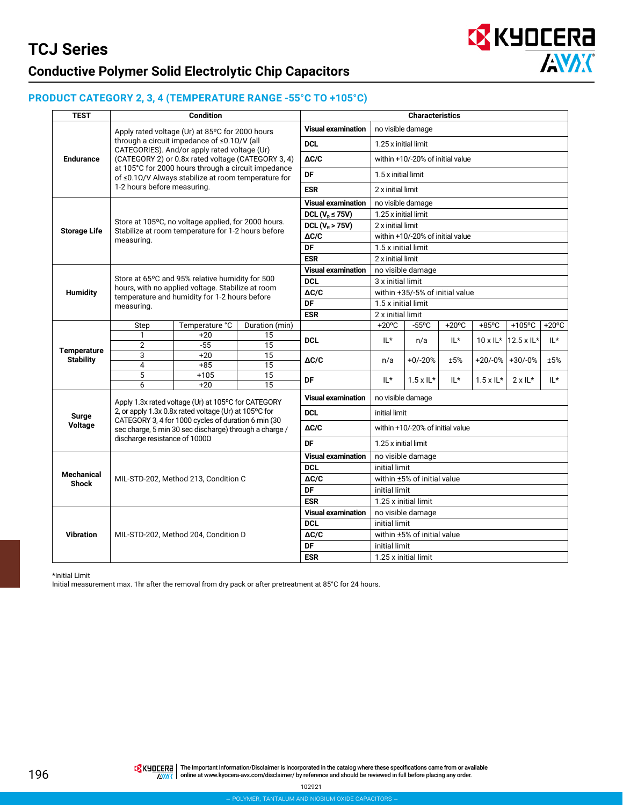### **PRODUCT CATEGORY 2, 3, 4 (TEMPERATURE RANGE -55°C TO +105°C)**

| <b>TEST</b>                       |                               | <b>Condition</b>                                                                                             |                       |                           |                                 | <b>Characteristics</b>           |                 |                           |                   |          |  |
|-----------------------------------|-------------------------------|--------------------------------------------------------------------------------------------------------------|-----------------------|---------------------------|---------------------------------|----------------------------------|-----------------|---------------------------|-------------------|----------|--|
|                                   |                               | Apply rated voltage (Ur) at 85°C for 2000 hours                                                              |                       | <b>Visual examination</b> | no visible damage               |                                  |                 |                           |                   |          |  |
|                                   |                               | through a circuit impedance of ≤0.1Ω/V (all<br>CATEGORIES). And/or apply rated voltage (Ur)                  |                       | <b>DCL</b>                | 1.25 x initial limit            |                                  |                 |                           |                   |          |  |
| <b>Endurance</b>                  |                               | (CATEGORY 2) or 0.8x rated voltage (CATEGORY 3, 4)                                                           |                       | $\Delta C/C$              |                                 | within +10/-20% of initial value |                 |                           |                   |          |  |
|                                   |                               | at 105°C for 2000 hours through a circuit impedance<br>of ≤0.1Ω/V Always stabilize at room temperature for   |                       | DF                        | 1.5 x initial limit             |                                  |                 |                           |                   |          |  |
|                                   | 1-2 hours before measuring.   |                                                                                                              |                       | <b>ESR</b>                | 2 x initial limit               |                                  |                 |                           |                   |          |  |
|                                   |                               |                                                                                                              |                       | <b>Visual examination</b> | no visible damage               |                                  |                 |                           |                   |          |  |
|                                   |                               |                                                                                                              |                       | DCL ( $V_R \leq 75V$ )    | 1.25 x initial limit            |                                  |                 |                           |                   |          |  |
|                                   |                               | Store at 105°C, no voltage applied, for 2000 hours.<br>Stabilize at room temperature for 1-2 hours before    |                       | DCL $(V_R > 75V)$         | 2 x initial limit               |                                  |                 |                           |                   |          |  |
| <b>Storage Life</b>               | measuring.                    |                                                                                                              |                       | $\Delta C/C$              |                                 | within +10/-20% of initial value |                 |                           |                   |          |  |
|                                   |                               |                                                                                                              |                       | <b>DF</b>                 | 1.5 x initial limit             |                                  |                 |                           |                   |          |  |
|                                   |                               |                                                                                                              |                       | <b>ESR</b>                | 2 x initial limit               |                                  |                 |                           |                   |          |  |
|                                   |                               |                                                                                                              |                       | <b>Visual examination</b> |                                 | no visible damage                |                 |                           |                   |          |  |
|                                   |                               | Store at 65°C and 95% relative humidity for 500                                                              |                       | <b>DCL</b>                | 3 x initial limit               |                                  |                 |                           |                   |          |  |
| Humidity                          |                               | hours, with no applied voltage. Stabilize at room<br>temperature and humidity for 1-2 hours before           |                       | $\Delta C/C$              | within +35/-5% of initial value |                                  |                 |                           |                   |          |  |
|                                   | measuring.                    |                                                                                                              |                       | DF                        | 1.5 x initial limit             |                                  |                 |                           |                   |          |  |
|                                   |                               |                                                                                                              |                       | <b>ESR</b>                | 2 x initial limit               |                                  |                 |                           |                   |          |  |
|                                   | Step                          | Temperature °C                                                                                               | Duration (min)        |                           | $+20^{\circ}$ C                 | $-55^{\circ}$ C                  | $+20^{\circ}$ C | $+85^{\circ}$ C           | +105°C            | $+20$ °C |  |
|                                   | 1                             | $+20$                                                                                                        | 15                    | <b>DCL</b>                | IL*                             | n/a                              | IL*             | $10 \times \mathsf{IL}^*$ | 12.5 x IL*        | IL*      |  |
| <b>Temperature</b>                | $\overline{2}$                | $-55$                                                                                                        | 15                    |                           |                                 |                                  |                 |                           |                   |          |  |
| <b>Stability</b>                  | 3                             | $+20$                                                                                                        | $\overline{15}$       | $\Delta C/C$              | n/a                             | $+0/-20%$                        | ±5%             |                           | $+20/-0%$ +30/-0% | ±5%      |  |
|                                   | 4                             | $+85$                                                                                                        | 15                    |                           |                                 |                                  |                 |                           |                   |          |  |
|                                   | 5<br>6                        | $+105$<br>$+20$                                                                                              | 15<br>$\overline{15}$ | <b>DF</b>                 | $IL*$                           | $1.5 \times 1$ L*                | IL*             | $1.5 \times 1$ L*         | $2 \times 11^*$   | $IL*$    |  |
|                                   |                               |                                                                                                              |                       | <b>Visual examination</b> | no visible damage               |                                  |                 |                           |                   |          |  |
|                                   |                               | Apply 1.3x rated voltage (Ur) at 105°C for CATEGORY<br>2, or apply 1.3x 0.8x rated voltage (Ur) at 105°C for |                       | <b>DCL</b>                | initial limit                   |                                  |                 |                           |                   |          |  |
| Surge                             |                               | CATEGORY 3, 4 for 1000 cycles of duration 6 min (30                                                          |                       |                           |                                 |                                  |                 |                           |                   |          |  |
| Voltage                           | discharge resistance of 1000Ω | sec charge, 5 min 30 sec discharge) through a charge /                                                       |                       | $\Delta C/C$              |                                 | within +10/-20% of initial value |                 |                           |                   |          |  |
|                                   |                               |                                                                                                              |                       | DF                        | 1.25 x initial limit            |                                  |                 |                           |                   |          |  |
|                                   |                               |                                                                                                              |                       | <b>Visual examination</b> |                                 | no visible damage                |                 |                           |                   |          |  |
|                                   |                               |                                                                                                              |                       | <b>DCL</b>                | initial limit                   |                                  |                 |                           |                   |          |  |
| <b>Mechanical</b><br><b>Shock</b> |                               | MIL-STD-202, Method 213, Condition C                                                                         |                       | $\Delta C/C$              |                                 | within ±5% of initial value      |                 |                           |                   |          |  |
|                                   |                               |                                                                                                              |                       | DF                        | initial limit                   |                                  |                 |                           |                   |          |  |
|                                   |                               | <b>ESR</b>                                                                                                   | 1.25 x initial limit  |                           |                                 |                                  |                 |                           |                   |          |  |
|                                   |                               |                                                                                                              |                       | <b>Visual examination</b> |                                 | no visible damage                |                 |                           |                   |          |  |
|                                   |                               |                                                                                                              |                       | <b>DCL</b>                | initial limit                   |                                  |                 |                           |                   |          |  |
| <b>Vibration</b>                  |                               | MIL-STD-202, Method 204, Condition D                                                                         |                       | $\Delta C/C$              |                                 | within ±5% of initial value      |                 |                           |                   |          |  |
|                                   |                               |                                                                                                              |                       | DF                        | initial limit                   |                                  |                 |                           |                   |          |  |
|                                   |                               |                                                                                                              |                       | <b>ESR</b>                | 1.25 x initial limit            |                                  |                 |                           |                   |          |  |

**EX** KYOCERA

**AVAK** 

\*Initial Limit

Initial measurement max. 1hr after the removal from dry pack or after pretreatment at 85°C for 24 hours.

196

THE Important Information/Disclaimer is incorporated in the catalog where these specifications came from or available online at [www.kyocera-avx.com/disclaimer/](http://www.kyocera-avx.com/disclaimer/) by reference and should be reviewed in full before placing any order.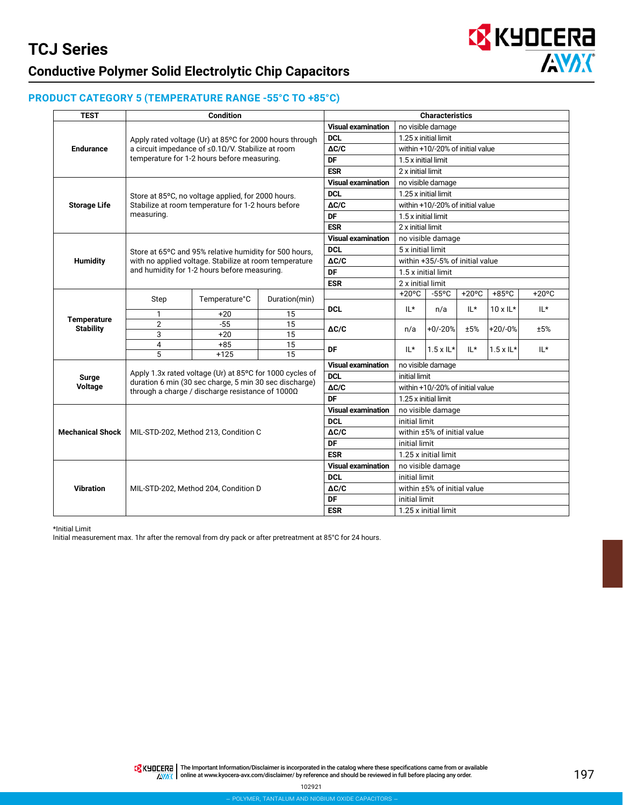

### **PRODUCT CATEGORY 5 (TEMPERATURE RANGE -55°C TO +85°C)**

| <b>TEST</b>                            | <b>Condition</b>                                                                                                                                                              |                |               | <b>Characteristics</b>    |                                  |                   |                 |                   |                 |
|----------------------------------------|-------------------------------------------------------------------------------------------------------------------------------------------------------------------------------|----------------|---------------|---------------------------|----------------------------------|-------------------|-----------------|-------------------|-----------------|
| <b>Endurance</b>                       | Apply rated voltage (Ur) at 85°C for 2000 hours through<br>a circuit impedance of ≤0.10/V. Stabilize at room<br>temperature for 1-2 hours before measuring.                   |                |               | <b>Visual examination</b> | no visible damage                |                   |                 |                   |                 |
|                                        |                                                                                                                                                                               |                |               | <b>DCL</b>                | 1.25 x initial limit             |                   |                 |                   |                 |
|                                        |                                                                                                                                                                               |                |               | $\Delta C/C$              | within +10/-20% of initial value |                   |                 |                   |                 |
|                                        |                                                                                                                                                                               |                |               | DF                        | 1.5 x initial limit              |                   |                 |                   |                 |
|                                        |                                                                                                                                                                               |                |               | <b>ESR</b>                | 2 x initial limit                |                   |                 |                   |                 |
| <b>Storage Life</b>                    | Store at 85°C, no voltage applied, for 2000 hours.<br>Stabilize at room temperature for 1-2 hours before<br>measuring.                                                        |                |               | <b>Visual examination</b> | no visible damage                |                   |                 |                   |                 |
|                                        |                                                                                                                                                                               |                |               | <b>DCL</b>                | 1.25 x initial limit             |                   |                 |                   |                 |
|                                        |                                                                                                                                                                               |                |               | $\Delta C/C$              | within +10/-20% of initial value |                   |                 |                   |                 |
|                                        |                                                                                                                                                                               |                |               | DF                        | 1.5 x initial limit              |                   |                 |                   |                 |
|                                        |                                                                                                                                                                               |                |               | <b>ESR</b>                | 2 x initial limit                |                   |                 |                   |                 |
| Humidity                               | Store at 65°C and 95% relative humidity for 500 hours.<br>with no applied voltage. Stabilize at room temperature<br>and humidity for 1-2 hours before measuring.              |                |               | <b>Visual examination</b> | no visible damage                |                   |                 |                   |                 |
|                                        |                                                                                                                                                                               |                |               | <b>DCL</b>                | 5 x initial limit                |                   |                 |                   |                 |
|                                        |                                                                                                                                                                               |                |               | $\Delta C/C$              | within +35/-5% of initial value  |                   |                 |                   |                 |
|                                        |                                                                                                                                                                               |                |               | DF                        | 1.5 x initial limit              |                   |                 |                   |                 |
|                                        |                                                                                                                                                                               |                |               | <b>ESR</b>                | 2 x initial limit                |                   |                 |                   |                 |
| <b>Temperature</b><br><b>Stability</b> | Step                                                                                                                                                                          | Temperature°C  | Duration(min) |                           | $+20^{\circ}$ C                  | $-55^{\circ}$ C   | $+20^{\circ}$ C | $+85^{\circ}$ C   | $+20^{\circ}$ C |
|                                        |                                                                                                                                                                               |                |               | <b>DCL</b>                | $IL^*$                           | n/a               | $IL*$           | $10 \times 1$ L*  | $IL*$           |
|                                        | $\mathbf{1}$                                                                                                                                                                  | $+20$          | 15            |                           |                                  |                   |                 |                   |                 |
|                                        | $\overline{2}$<br>3                                                                                                                                                           | $-55$<br>$+20$ | 15<br>15      | $\Delta C/C$<br>DF        | n/a                              | $+0/-20%$         | ±5%             | $+20/-0%$         | ±5%             |
|                                        | 4                                                                                                                                                                             | $+85$          | 15            |                           |                                  |                   |                 |                   |                 |
|                                        | 5                                                                                                                                                                             | $+125$         | 15            |                           | $IL*$                            | $1.5 \times 1$ L* | $IL*$           | $1.5 \times 1$ L* | IL*             |
| Surge<br>Voltage                       |                                                                                                                                                                               |                |               | <b>Visual examination</b> | no visible damage                |                   |                 |                   |                 |
|                                        | Apply 1.3x rated voltage (Ur) at 85°C for 1000 cycles of<br>duration 6 min (30 sec charge, 5 min 30 sec discharge)<br>through a charge / discharge resistance of $1000\Omega$ |                |               | <b>DCL</b>                | initial limit                    |                   |                 |                   |                 |
|                                        |                                                                                                                                                                               |                |               | $\Delta C/C$              | within +10/-20% of initial value |                   |                 |                   |                 |
|                                        |                                                                                                                                                                               |                |               | DF                        | 1.25 x initial limit             |                   |                 |                   |                 |
| <b>Mechanical Shock</b>                | MIL-STD-202, Method 213, Condition C                                                                                                                                          |                |               | <b>Visual examination</b> | no visible damage                |                   |                 |                   |                 |
|                                        |                                                                                                                                                                               |                |               | <b>DCL</b>                | initial limit                    |                   |                 |                   |                 |
|                                        |                                                                                                                                                                               |                |               | $\Delta C/C$              | within ±5% of initial value      |                   |                 |                   |                 |
|                                        |                                                                                                                                                                               |                |               | <b>DF</b>                 | initial limit                    |                   |                 |                   |                 |
|                                        |                                                                                                                                                                               |                |               | <b>ESR</b>                | 1.25 x initial limit             |                   |                 |                   |                 |
| <b>Vibration</b>                       | MIL-STD-202, Method 204, Condition D                                                                                                                                          |                |               | <b>Visual examination</b> | no visible damage                |                   |                 |                   |                 |
|                                        |                                                                                                                                                                               |                |               | <b>DCL</b>                | initial limit                    |                   |                 |                   |                 |
|                                        |                                                                                                                                                                               |                |               | $\Delta C/C$              | within ±5% of initial value      |                   |                 |                   |                 |
|                                        |                                                                                                                                                                               |                |               | DF                        | initial limit                    |                   |                 |                   |                 |
|                                        |                                                                                                                                                                               |                |               | <b>ESR</b>                | 1.25 x initial limit             |                   |                 |                   |                 |

\*Initial Limit

Initial measurement max. 1hr after the removal from dry pack or after pretreatment at 85°C for 24 hours.

THE IMPORTAL The Important Information/Disclaimer is incorporated in the catalog where these specifications came from or available **AWAX** online at [www.kyocera-avx.com/disclaimer/](http://www.avx.com/disclaimer/) by reference and should be reviewed in full before placing any order.